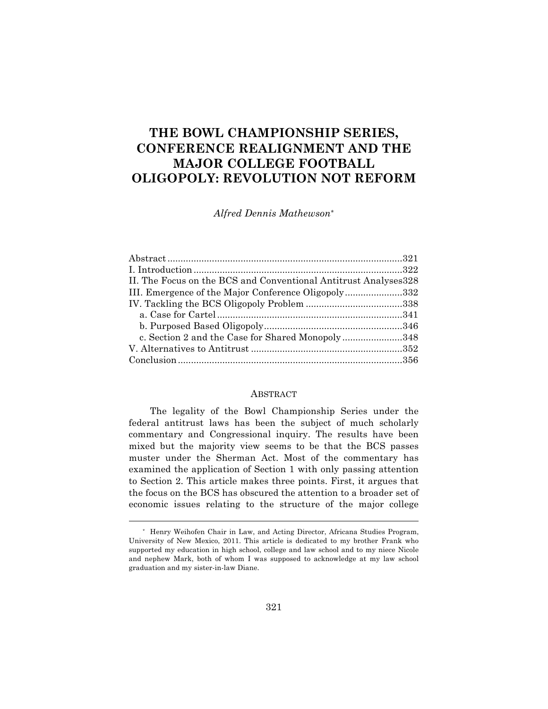# **THE BOWL CHAMPIONSHIP SERIES, CONFERENCE REALIGNMENT AND THE MAJOR COLLEGE FOOTBALL OLIGOPOLY: REVOLUTION NOT REFORM**

*Alfred Dennis Mathewson\**

| II. The Focus on the BCS and Conventional Antitrust Analyses 328 |  |
|------------------------------------------------------------------|--|
| III. Emergence of the Major Conference Oligopoly332              |  |
|                                                                  |  |
|                                                                  |  |
|                                                                  |  |
| c. Section 2 and the Case for Shared Monopoly348                 |  |
|                                                                  |  |
|                                                                  |  |
|                                                                  |  |

#### ABSTRACT

The legality of the Bowl Championship Series under the federal antitrust laws has been the subject of much scholarly commentary and Congressional inquiry. The results have been mixed but the majority view seems to be that the BCS passes muster under the Sherman Act. Most of the commentary has examined the application of Section 1 with only passing attention to Section 2. This article makes three points. First, it argues that the focus on the BCS has obscured the attention to a broader set of economic issues relating to the structure of the major college

<sup>\*</sup> Henry Weihofen Chair in Law, and Acting Director, Africana Studies Program, University of New Mexico, 2011. This article is dedicated to my brother Frank who supported my education in high school, college and law school and to my niece Nicole and nephew Mark, both of whom I was supposed to acknowledge at my law school graduation and my sister-in-law Diane.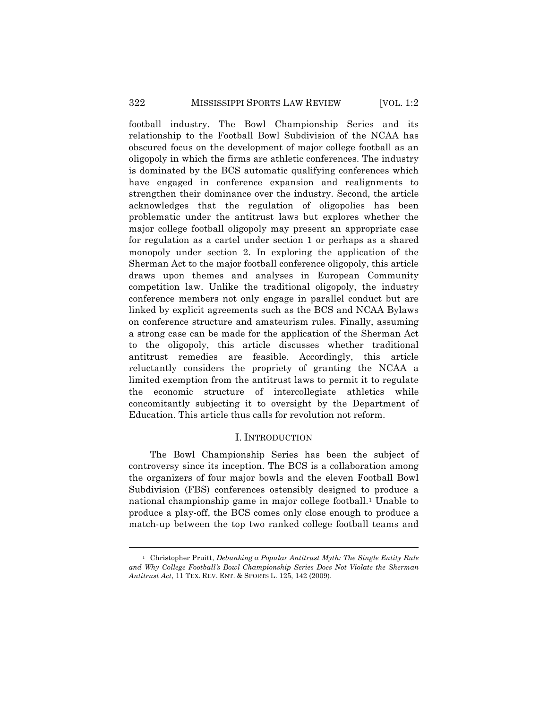football industry. The Bowl Championship Series and its relationship to the Football Bowl Subdivision of the NCAA has obscured focus on the development of major college football as an oligopoly in which the firms are athletic conferences. The industry is dominated by the BCS automatic qualifying conferences which have engaged in conference expansion and realignments to strengthen their dominance over the industry. Second, the article acknowledges that the regulation of oligopolies has been problematic under the antitrust laws but explores whether the major college football oligopoly may present an appropriate case for regulation as a cartel under section 1 or perhaps as a shared monopoly under section 2. In exploring the application of the Sherman Act to the major football conference oligopoly, this article draws upon themes and analyses in European Community competition law. Unlike the traditional oligopoly, the industry conference members not only engage in parallel conduct but are linked by explicit agreements such as the BCS and NCAA Bylaws on conference structure and amateurism rules. Finally, assuming a strong case can be made for the application of the Sherman Act to the oligopoly, this article discusses whether traditional antitrust remedies are feasible. Accordingly, this article reluctantly considers the propriety of granting the NCAA a limited exemption from the antitrust laws to permit it to regulate the economic structure of intercollegiate athletics while concomitantly subjecting it to oversight by the Department of Education. This article thus calls for revolution not reform.

#### I. INTRODUCTION

The Bowl Championship Series has been the subject of controversy since its inception. The BCS is a collaboration among the organizers of four major bowls and the eleven Football Bowl Subdivision (FBS) conferences ostensibly designed to produce a national championship game in major college football.1 Unable to produce a play-off, the BCS comes only close enough to produce a match-up between the top two ranked college football teams and

<sup>1</sup> Christopher Pruitt, *Debunking a Popular Antitrust Myth: The Single Entity Rule and Why College Football's Bowl Championship Series Does Not Violate the Sherman Antitrust Act*, 11 TEX. REV. ENT. & SPORTS L. 125, 142 (2009).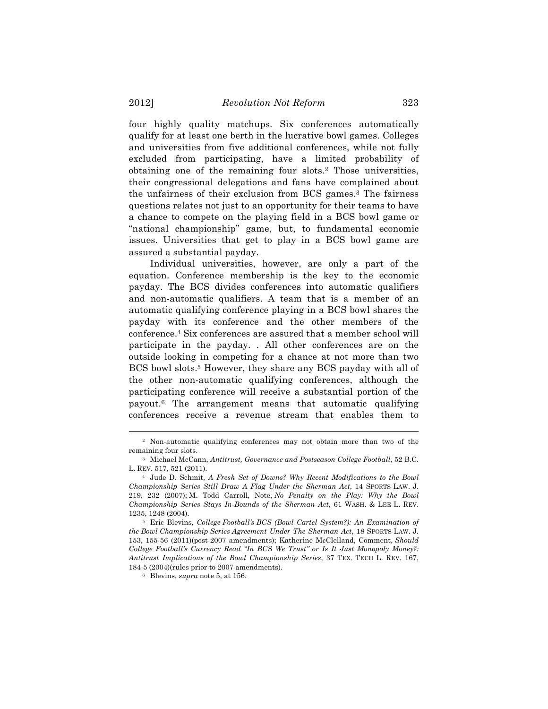four highly quality matchups. Six conferences automatically qualify for at least one berth in the lucrative bowl games. Colleges and universities from five additional conferences, while not fully excluded from participating, have a limited probability of obtaining one of the remaining four slots.2 Those universities, their congressional delegations and fans have complained about the unfairness of their exclusion from BCS games.3 The fairness questions relates not just to an opportunity for their teams to have a chance to compete on the playing field in a BCS bowl game or "national championship" game, but, to fundamental economic issues. Universities that get to play in a BCS bowl game are assured a substantial payday.

Individual universities, however, are only a part of the equation. Conference membership is the key to the economic payday. The BCS divides conferences into automatic qualifiers and non-automatic qualifiers. A team that is a member of an automatic qualifying conference playing in a BCS bowl shares the payday with its conference and the other members of the conference.4 Six conferences are assured that a member school will participate in the payday. . All other conferences are on the outside looking in competing for a chance at not more than two BCS bowl slots.<sup>5</sup> However, they share any BCS payday with all of the other non-automatic qualifying conferences, although the participating conference will receive a substantial portion of the payout.6 The arrangement means that automatic qualifying conferences receive a revenue stream that enables them to

<sup>2</sup> Non-automatic qualifying conferences may not obtain more than two of the remaining four slots.

<sup>3</sup> Michael McCann, *Antitrust, Governance and Postseason College Football*, 52 B.C. L. REV. 517, 521 (2011).

<sup>4</sup> Jude D. Schmit, *A Fresh Set of Downs? Why Recent Modifications to the Bowl Championship Series Still Draw A Flag Under the Sherman Act*, 14 SPORTS LAW. J. 219, 232 (2007); M. Todd Carroll, Note, *No Penalty on the Play: Why the Bowl Championship Series Stays In-Bounds of the Sherman Act*, 61 WASH. & LEE L. REV. 1235, 1248 (2004).

<sup>5</sup> Eric Blevins*, College Football's BCS (Bowl Cartel System?): An Examination of the Bowl Championship Series Agreement Under The Sherman Act*, 18 SPORTS LAW. J. 153, 155-56 (2011)(post-2007 amendments); Katherine McClelland, Comment, *Should College Football's Currency Read "In BCS We Trust" or Is It Just Monopoly Money?: Antitrust Implications of the Bowl Championship Series*, 37 TEX. TECH L. REV. 167, 184-5 (2004)(rules prior to 2007 amendments).

<sup>6</sup> Blevins, *supra* note 5, at 156.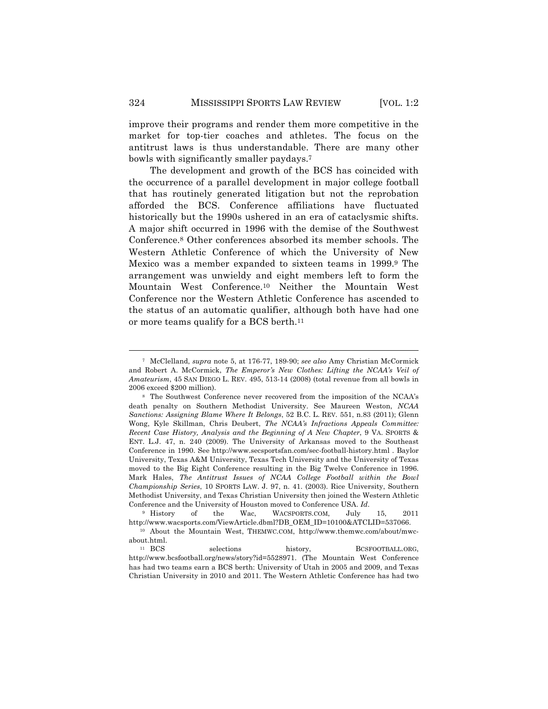improve their programs and render them more competitive in the market for top-tier coaches and athletes. The focus on the antitrust laws is thus understandable. There are many other bowls with significantly smaller paydays.7

The development and growth of the BCS has coincided with the occurrence of a parallel development in major college football that has routinely generated litigation but not the reprobation afforded the BCS. Conference affiliations have fluctuated historically but the 1990s ushered in an era of cataclysmic shifts. A major shift occurred in 1996 with the demise of the Southwest Conference.8 Other conferences absorbed its member schools. The Western Athletic Conference of which the University of New Mexico was a member expanded to sixteen teams in 1999.9 The arrangement was unwieldy and eight members left to form the Mountain West Conference.10 Neither the Mountain West Conference nor the Western Athletic Conference has ascended to the status of an automatic qualifier, although both have had one or more teams qualify for a BCS berth.11

<sup>7</sup> McClelland, *supra* note 5, at 176-77, 189-90; *see also* Amy Christian McCormick and Robert A. McCormick, *The Emperor's New Clothes: Lifting the NCAA's Veil of Amateurism*, 45 SAN DIEGO L. REV. 495, 513-14 (2008) (total revenue from all bowls in 2006 exceed \$200 million).

<sup>8</sup> The Southwest Conference never recovered from the imposition of the NCAA's death penalty on Southern Methodist University. See Maureen Weston, *NCAA Sanctions: Assigning Blame Where It Belongs*, 52 B.C. L. REV. 551, n.83 (2011); Glenn Wong, Kyle Skillman, Chris Deubert, *The NCAA's Infractions Appeals Committee: Recent Case History, Analysis and the Beginning of A New Chapter*, 9 VA. SPORTS & ENT. L.J. 47, n. 240 (2009). The University of Arkansas moved to the Southeast Conference in 1990. See http://www.secsportsfan.com/sec-football-history.html . Baylor University, Texas A&M University, Texas Tech University and the University of Texas moved to the Big Eight Conference resulting in the Big Twelve Conference in 1996. Mark Hales, *The Antitrust Issues of NCAA College Football within the Bowl Championship Series*, 10 SPORTS LAW. J. 97, n. 41. (2003). Rice University, Southern Methodist University, and Texas Christian University then joined the Western Athletic Conference and the University of Houston moved to Conference USA. *Id*.

<sup>9</sup> History of the Wac, WACSPORTS.COM, July 15, 2011 http://www.wacsports.com/ViewArticle.dbml?DB\_OEM\_ID=10100&ATCLID=537066.

<sup>10</sup> About the Mountain West, THEMWC.COM, http://www.themwc.com/about/mwcabout.html.

<sup>11</sup> BCS selections history, BCSFOOTBALL.ORG, http://www.bcsfootball.org/news/story?id=5528971. (The Mountain West Conference has had two teams earn a BCS berth: University of Utah in 2005 and 2009, and Texas Christian University in 2010 and 2011. The Western Athletic Conference has had two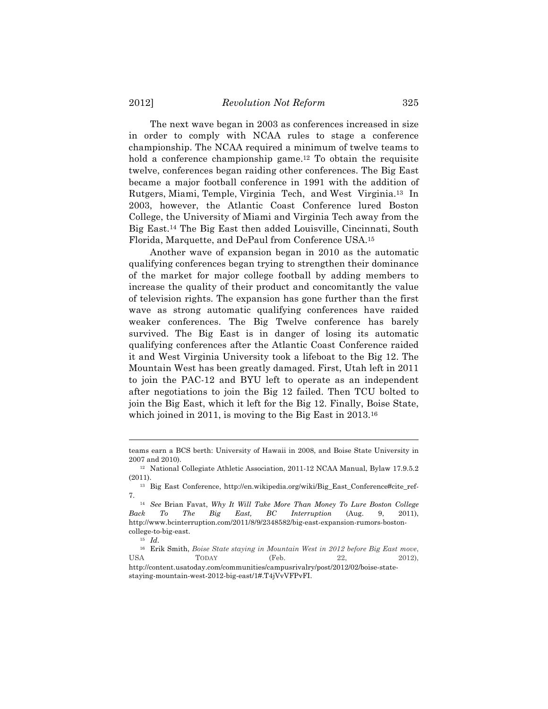The next wave began in 2003 as conferences increased in size in order to comply with NCAA rules to stage a conference championship. The NCAA required a minimum of twelve teams to hold a conference championship game.<sup>12</sup> To obtain the requisite twelve, conferences began raiding other conferences. The Big East became a major football conference in 1991 with the addition of Rutgers, Miami, Temple, Virginia Tech, and West Virginia.13 In 2003, however, the Atlantic Coast Conference lured Boston College, the University of Miami and Virginia Tech away from the Big East.14 The Big East then added Louisville, Cincinnati, South Florida, Marquette, and DePaul from Conference USA.15

Another wave of expansion began in 2010 as the automatic qualifying conferences began trying to strengthen their dominance of the market for major college football by adding members to increase the quality of their product and concomitantly the value of television rights. The expansion has gone further than the first wave as strong automatic qualifying conferences have raided weaker conferences. The Big Twelve conference has barely survived. The Big East is in danger of losing its automatic qualifying conferences after the Atlantic Coast Conference raided it and West Virginia University took a lifeboat to the Big 12. The Mountain West has been greatly damaged. First, Utah left in 2011 to join the PAC-12 and BYU left to operate as an independent after negotiations to join the Big 12 failed. Then TCU bolted to join the Big East, which it left for the Big 12. Finally, Boise State, which joined in 2011, is moving to the Big East in 2013.<sup>16</sup>

teams earn a BCS berth: University of Hawaii in 2008, and Boise State University in 2007 and 2010).

<sup>12</sup> National Collegiate Athletic Association, 2011-12 NCAA Manual, Bylaw 17.9.5.2 (2011).

<sup>13</sup> Big East Conference, http://en.wikipedia.org/wiki/Big\_East\_Conference#cite\_ref-7.

<sup>14</sup> *See* Brian Favat, *Why It Will Take More Than Money To Lure Boston College Back To The Big East, BC Interruption* (Aug. 9, 2011), http://www.bcinterruption.com/2011/8/9/2348582/big-east-expansion-rumors-bostoncollege-to-big-east.

<sup>15</sup> *Id*.

<sup>16</sup> Erik Smith, *Boise State staying in Mountain West in 2012 before Big East move*, USA TODAY (Feb. 22, 2012), http://content.usatoday.com/communities/campusrivalry/post/2012/02/boise-state-

staying-mountain-west-2012-big-east/1#.T4jVvVFPvFI.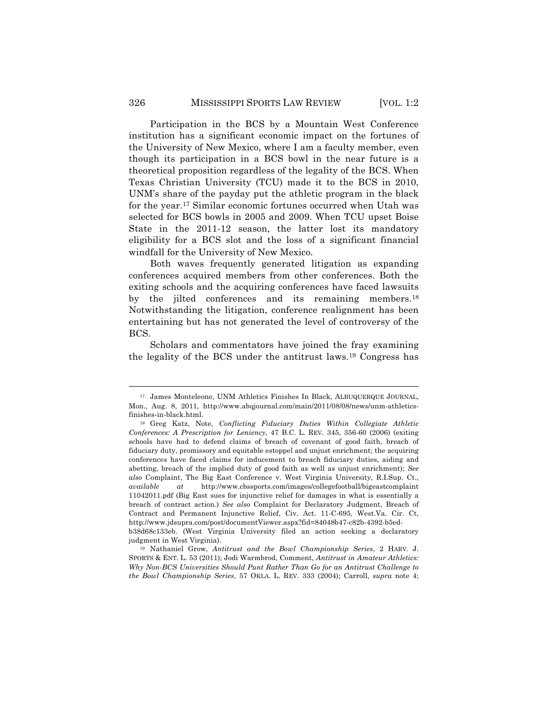Participation in the BCS by a Mountain West Conference institution has a significant economic impact on the fortunes of the University of New Mexico, where I am a faculty member, even though its participation in a BCS bowl in the near future is a theoretical proposition regardless of the legality of the BCS. When Texas Christian University (TCU) made it to the BCS in 2010, UNM's share of the payday put the athletic program in the black for the year.17 Similar economic fortunes occurred when Utah was selected for BCS bowls in 2005 and 2009. When TCU upset Boise State in the 2011-12 season, the latter lost its mandatory eligibility for a BCS slot and the loss of a significant financial windfall for the University of New Mexico.

Both waves frequently generated litigation as expanding conferences acquired members from other conferences. Both the exiting schools and the acquiring conferences have faced lawsuits by the jilted conferences and its remaining members.18 Notwithstanding the litigation, conference realignment has been entertaining but has not generated the level of controversy of the BCS.

Scholars and commentators have joined the fray examining the legality of the BCS under the antitrust laws.19 Congress has

<sup>17</sup> James Monteleone, UNM Athletics Finishes In Black, ALBUQUERQUE JOURNAL, Mon., Aug. 8, 2011, http://www.abqjournal.com/main/2011/08/08/news/unm-athleticsfinishes-in-black.html.

<sup>18</sup> Greg Katz, Note, *Conflicting Fiduciary Duties Within Collegiate Athletic Conferences: A Prescription for Leniency*, 47 B.C. L. REV. 345, 356-60 (2006) (exiting schools have had to defend claims of breach of covenant of good faith, breach of fiduciary duty, promissory and equitable estoppel and unjust enrichment; the acquiring conferences have faced claims for inducement to breach fiduciary duties, aiding and abetting, breach of the implied duty of good faith as well as unjust enrichment); *See also* Complaint, The Big East Conference v. West Virginia University, R.I.Sup. Ct., *available at* http://www.cbssports.com/images/collegefootball/bigeastcomplaint 11042011.pdf (Big East sues for injunctive relief for damages in what is essentially a breach of contract action.) *See also* Complaint for Declaratory Judgment, Breach of Contract and Permanent Injunctive Relief, Civ. Act. 11-C-695, West.Va. Cir. Ct, http://www.jdsupra.com/post/documentViewer.aspx?fid=84048b47-c82b-4392-b5ed-

b38d68c133eb. (West Virginia University filed an action seeking a declaratory judgment in West Virginia).

<sup>19</sup> Nathaniel Grow, *Antitrust and the Bowl Championship Series*, 2 HARV. J. SPORTS & ENT. L. 53 (2011); Jodi Warmbrod, Comment, *Antitrust in Amateur Athletics: Why Non-BCS Universities Should Punt Rather Than Go for an Antitrust Challenge to the Bowl Championship Series*, 57 OKLA. L. REV. 333 (2004); Carroll, *supra* note 4;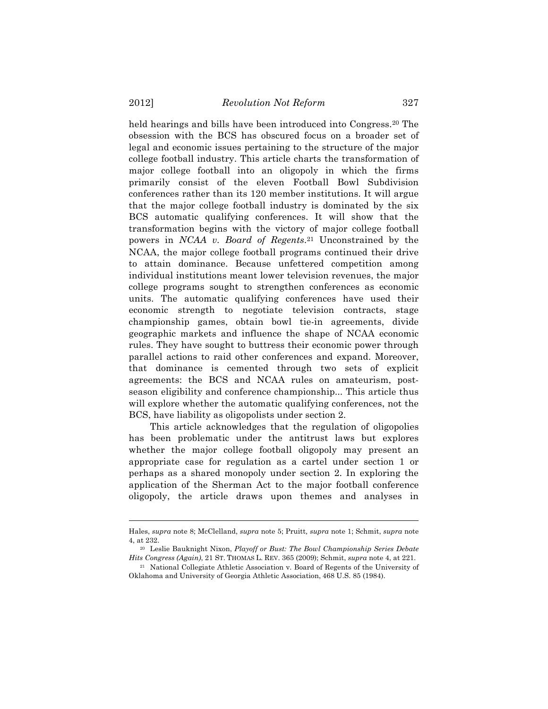held hearings and bills have been introduced into Congress.20 The obsession with the BCS has obscured focus on a broader set of legal and economic issues pertaining to the structure of the major college football industry. This article charts the transformation of major college football into an oligopoly in which the firms primarily consist of the eleven Football Bowl Subdivision conferences rather than its 120 member institutions. It will argue that the major college football industry is dominated by the six BCS automatic qualifying conferences. It will show that the transformation begins with the victory of major college football powers in *NCAA v. Board of Regents*.21 Unconstrained by the NCAA, the major college football programs continued their drive to attain dominance. Because unfettered competition among individual institutions meant lower television revenues, the major college programs sought to strengthen conferences as economic units. The automatic qualifying conferences have used their economic strength to negotiate television contracts, stage championship games, obtain bowl tie-in agreements, divide geographic markets and influence the shape of NCAA economic rules. They have sought to buttress their economic power through parallel actions to raid other conferences and expand. Moreover, that dominance is cemented through two sets of explicit agreements: the BCS and NCAA rules on amateurism, postseason eligibility and conference championship... This article thus will explore whether the automatic qualifying conferences, not the BCS, have liability as oligopolists under section 2.

This article acknowledges that the regulation of oligopolies has been problematic under the antitrust laws but explores whether the major college football oligopoly may present an appropriate case for regulation as a cartel under section 1 or perhaps as a shared monopoly under section 2. In exploring the application of the Sherman Act to the major football conference oligopoly, the article draws upon themes and analyses in

Hales, *supra* note 8; McClelland, *supra* note 5; Pruitt*, supra* note 1; Schmit, *supra* note 4, at 232.

<sup>20</sup> Leslie Bauknight Nixon, *Playoff or Bust: The Bowl Championship Series Debate Hits Congress (Again)*, 21 ST. THOMAS L. REV. 365 (2009); Schmit, *supra* note 4, at 221.

<sup>21</sup> National Collegiate Athletic Association v. Board of Regents of the University of Oklahoma and University of Georgia Athletic Association, 468 U.S. 85 (1984).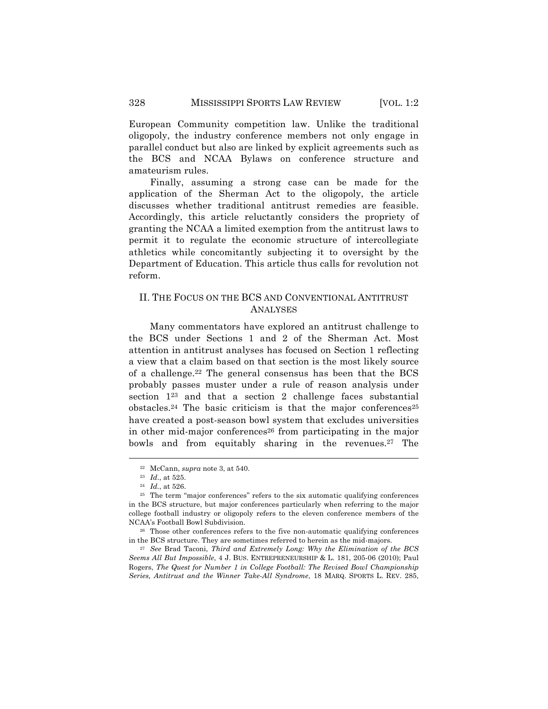European Community competition law. Unlike the traditional oligopoly, the industry conference members not only engage in parallel conduct but also are linked by explicit agreements such as the BCS and NCAA Bylaws on conference structure and amateurism rules.

Finally, assuming a strong case can be made for the application of the Sherman Act to the oligopoly, the article discusses whether traditional antitrust remedies are feasible. Accordingly, this article reluctantly considers the propriety of granting the NCAA a limited exemption from the antitrust laws to permit it to regulate the economic structure of intercollegiate athletics while concomitantly subjecting it to oversight by the Department of Education. This article thus calls for revolution not reform.

# II. THE FOCUS ON THE BCS AND CONVENTIONAL ANTITRUST ANALYSES

Many commentators have explored an antitrust challenge to the BCS under Sections 1 and 2 of the Sherman Act. Most attention in antitrust analyses has focused on Section 1 reflecting a view that a claim based on that section is the most likely source of a challenge.22 The general consensus has been that the BCS probably passes muster under a rule of reason analysis under section 123 and that a section 2 challenge faces substantial  $obstacles<sup>24</sup> The basic criticism is that the major conferences<sup>25</sup>$ have created a post-season bowl system that excludes universities in other mid-major conferences<sup>26</sup> from participating in the major bowls and from equitably sharing in the revenues.27 The

 $\overline{a}$ 

<sup>27</sup> *See* Brad Taconi, *Third and Extremely Long: Why the Elimination of the BCS Seems All But Impossible*, 4 J. BUS. ENTREPRENEURSHIP & L. 181, 205-06 (2010); Paul Rogers, *The Quest for Number 1 in College Football: The Revised Bowl Championship Series, Antitrust and the Winner Take-All Syndrome*, 18 MARQ. SPORTS L. REV. 285,

<sup>22</sup> McCann, *supra* note 3, at 540.

<sup>23</sup> *Id*., at 525.

<sup>24</sup> *Id.*, at 526.

<sup>25</sup> The term "major conferences" refers to the six automatic qualifying conferences in the BCS structure, but major conferences particularly when referring to the major college football industry or oligopoly refers to the eleven conference members of the NCAA's Football Bowl Subdivision.

<sup>26</sup> Those other conferences refers to the five non-automatic qualifying conferences in the BCS structure. They are sometimes referred to herein as the mid-majors.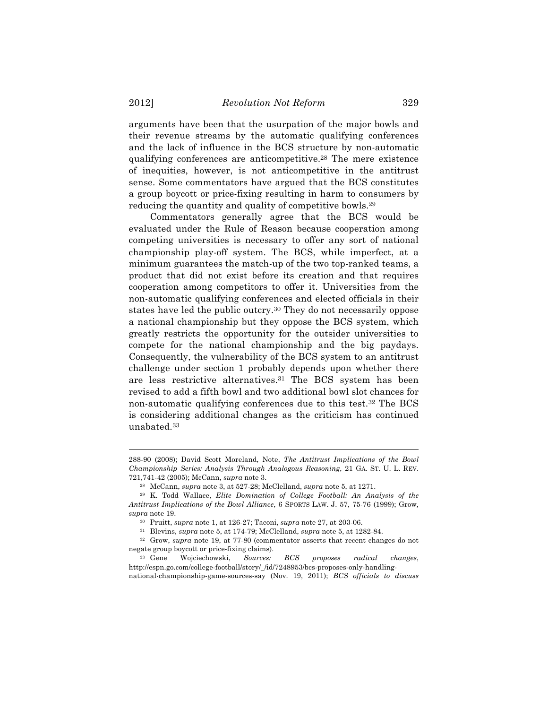arguments have been that the usurpation of the major bowls and their revenue streams by the automatic qualifying conferences and the lack of influence in the BCS structure by non-automatic qualifying conferences are anticompetitive.28 The mere existence of inequities, however, is not anticompetitive in the antitrust sense. Some commentators have argued that the BCS constitutes a group boycott or price-fixing resulting in harm to consumers by reducing the quantity and quality of competitive bowls.29

Commentators generally agree that the BCS would be evaluated under the Rule of Reason because cooperation among competing universities is necessary to offer any sort of national championship play-off system. The BCS, while imperfect, at a minimum guarantees the match-up of the two top-ranked teams, a product that did not exist before its creation and that requires cooperation among competitors to offer it. Universities from the non-automatic qualifying conferences and elected officials in their states have led the public outcry.30 They do not necessarily oppose a national championship but they oppose the BCS system, which greatly restricts the opportunity for the outsider universities to compete for the national championship and the big paydays. Consequently, the vulnerability of the BCS system to an antitrust challenge under section 1 probably depends upon whether there are less restrictive alternatives.31 The BCS system has been revised to add a fifth bowl and two additional bowl slot chances for non-automatic qualifying conferences due to this test.32 The BCS is considering additional changes as the criticism has continued unabated.33

<sup>288-90 (2008);</sup> David Scott Moreland, Note, *The Antitrust Implications of the Bowl Championship Series: Analysis Through Analogous Reasoning*, 21 GA. ST. U. L. REV. 721,741-42 (2005); McCann, *supra* note 3.

<sup>28</sup> McCann, *supra* note 3, at 527-28; McClelland, *supra* note 5, at 1271.

<sup>29</sup> K. Todd Wallace, *Elite Domination of College Football: An Analysis of the Antitrust Implications of the Bowl Alliance*, 6 SPORTS LAW. J. 57, 75-76 (1999); Grow*, supra* note 19.

<sup>30</sup> Pruitt, *supra* note 1, at 126-27; Taconi, *supra* note 27, at 203-06.

<sup>31</sup> Blevins, *supra* note 5, at 174-79; McClelland, *supra* note 5, at 1282-84.

<sup>32</sup> Grow, *supra* note 19, at 77-80 (commentator asserts that recent changes do not negate group boycott or price-fixing claims).

<sup>33</sup> Gene Wojciechowski, *Sources: BCS proposes radical changes*, http://espn.go.com/college-football/story/\_/id/7248953/bcs-proposes-only-handling-

national-championship-game-sources-say (Nov. 19, 2011); *BCS officials to discuss*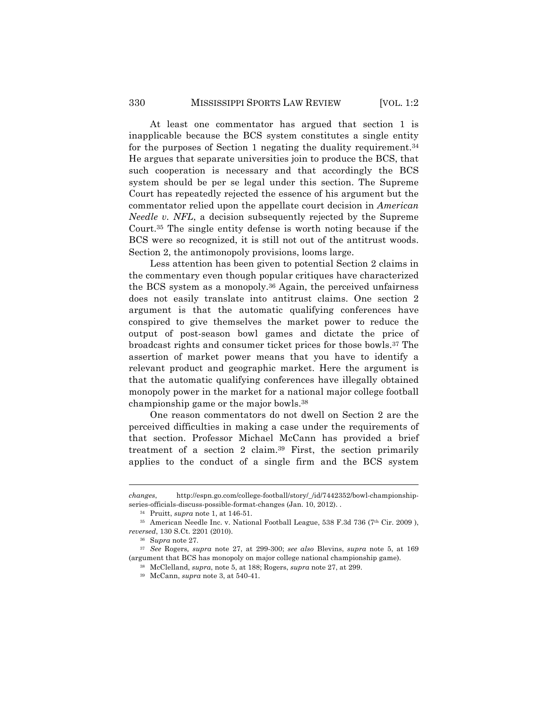At least one commentator has argued that section 1 is inapplicable because the BCS system constitutes a single entity for the purposes of Section 1 negating the duality requirement.34 He argues that separate universities join to produce the BCS, that such cooperation is necessary and that accordingly the BCS system should be per se legal under this section. The Supreme Court has repeatedly rejected the essence of his argument but the commentator relied upon the appellate court decision in *American Needle v. NFL*, a decision subsequently rejected by the Supreme Court.35 The single entity defense is worth noting because if the BCS were so recognized, it is still not out of the antitrust woods. Section 2, the antimonopoly provisions, looms large.

Less attention has been given to potential Section 2 claims in the commentary even though popular critiques have characterized the BCS system as a monopoly.36 Again, the perceived unfairness does not easily translate into antitrust claims. One section 2 argument is that the automatic qualifying conferences have conspired to give themselves the market power to reduce the output of post-season bowl games and dictate the price of broadcast rights and consumer ticket prices for those bowls.37 The assertion of market power means that you have to identify a relevant product and geographic market. Here the argument is that the automatic qualifying conferences have illegally obtained monopoly power in the market for a national major college football championship game or the major bowls.38

One reason commentators do not dwell on Section 2 are the perceived difficulties in making a case under the requirements of that section. Professor Michael McCann has provided a brief treatment of a section 2 claim.39 First, the section primarily applies to the conduct of a single firm and the BCS system

 $\overline{a}$ 

<sup>38</sup> McClelland, *supra*, note 5, at 188; Rogers, *supra* note 27, at 299.

*changes*, http://espn.go.com/college-football/story/\_/id/7442352/bowl-championshipseries-officials-discuss-possible-format-changes (Jan. 10, 2012). .

<sup>34</sup> Pruitt, *supra* note 1, at 146-51.

<sup>&</sup>lt;sup>35</sup> American Needle Inc. v. National Football League, 538 F.3d 736 (7<sup>th</sup> Cir. 2009), *reversed*, 130 S.Ct. 2201 (2010).

<sup>36</sup> S*upra* note 27.

<sup>37</sup> *See* Rogers*, supra* note 27, at 299-300; *see also* Blevins, *supra* note 5, at 169 (argument that BCS has monopoly on major college national championship game).

<sup>39</sup> McCann, *supra* note 3, at 540-41.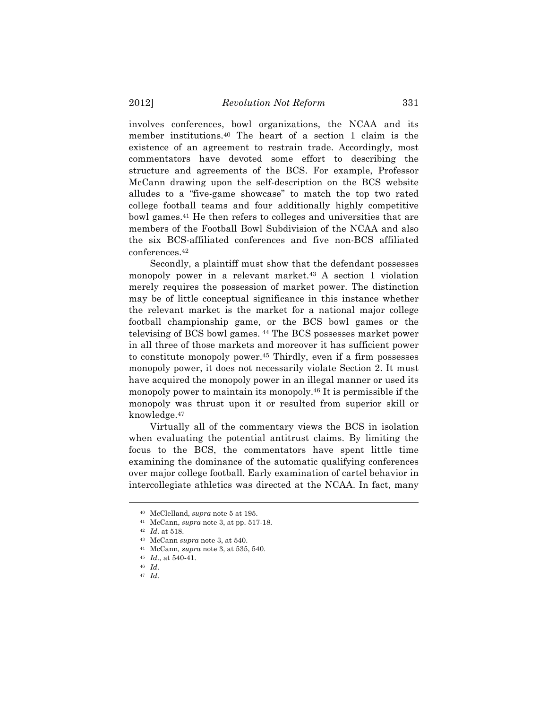involves conferences, bowl organizations, the NCAA and its member institutions.40 The heart of a section 1 claim is the existence of an agreement to restrain trade. Accordingly, most commentators have devoted some effort to describing the structure and agreements of the BCS. For example, Professor McCann drawing upon the self-description on the BCS website alludes to a "five-game showcase" to match the top two rated college football teams and four additionally highly competitive bowl games.41 He then refers to colleges and universities that are members of the Football Bowl Subdivision of the NCAA and also the six BCS-affiliated conferences and five non-BCS affiliated conferences.42

Secondly, a plaintiff must show that the defendant possesses monopoly power in a relevant market.43 A section 1 violation merely requires the possession of market power. The distinction may be of little conceptual significance in this instance whether the relevant market is the market for a national major college football championship game, or the BCS bowl games or the televising of BCS bowl games. <sup>44</sup> The BCS possesses market power in all three of those markets and moreover it has sufficient power to constitute monopoly power.45 Thirdly, even if a firm possesses monopoly power, it does not necessarily violate Section 2. It must have acquired the monopoly power in an illegal manner or used its monopoly power to maintain its monopoly.46 It is permissible if the monopoly was thrust upon it or resulted from superior skill or knowledge.47

Virtually all of the commentary views the BCS in isolation when evaluating the potential antitrust claims. By limiting the focus to the BCS, the commentators have spent little time examining the dominance of the automatic qualifying conferences over major college football. Early examination of cartel behavior in intercollegiate athletics was directed at the NCAA. In fact, many

<sup>40</sup> McClelland, *supra* note 5 at 195.

<sup>41</sup> McCann, *supra* note 3, at pp. 517-18.

<sup>42</sup> *Id*. at 518.

<sup>43</sup> McCann *supra* note 3, at 540.

<sup>44</sup> McCann*, supra* note 3, at 535, 540.

<sup>45</sup> *Id*., at 540-41.

<sup>46</sup> *Id*.

<sup>47</sup> *Id*.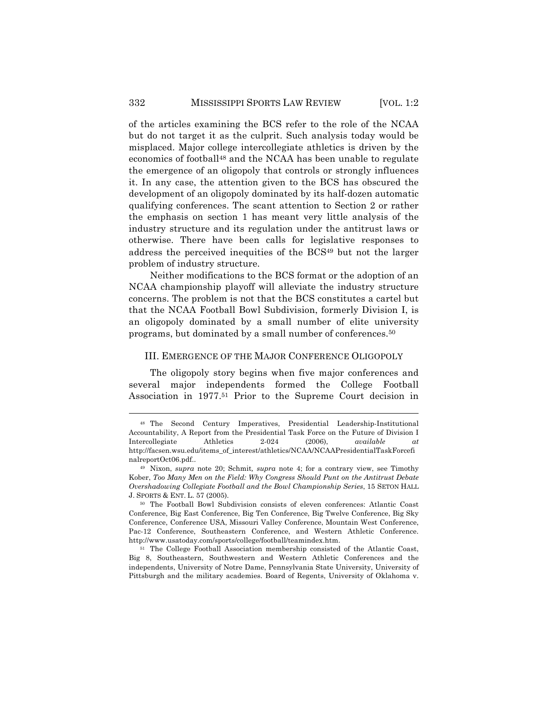of the articles examining the BCS refer to the role of the NCAA but do not target it as the culprit. Such analysis today would be misplaced. Major college intercollegiate athletics is driven by the economics of football48 and the NCAA has been unable to regulate the emergence of an oligopoly that controls or strongly influences it. In any case, the attention given to the BCS has obscured the development of an oligopoly dominated by its half-dozen automatic qualifying conferences. The scant attention to Section 2 or rather the emphasis on section 1 has meant very little analysis of the industry structure and its regulation under the antitrust laws or otherwise. There have been calls for legislative responses to address the perceived inequities of the BCS49 but not the larger problem of industry structure.

Neither modifications to the BCS format or the adoption of an NCAA championship playoff will alleviate the industry structure concerns. The problem is not that the BCS constitutes a cartel but that the NCAA Football Bowl Subdivision, formerly Division I, is an oligopoly dominated by a small number of elite university programs, but dominated by a small number of conferences.50

#### III. EMERGENCE OF THE MAJOR CONFERENCE OLIGOPOLY

The oligopoly story begins when five major conferences and several major independents formed the College Football Association in 1977.51 Prior to the Supreme Court decision in

<sup>48</sup> The Second Century Imperatives, Presidential Leadership-Institutional Accountability, A Report from the Presidential Task Force on the Future of Division I Intercollegiate Athletics 2-024 (2006), *available at* http://facsen.wsu.edu/items\_of\_interest/athletics/NCAA/NCAAPresidentialTaskForcefi nalreportOct06.pdf..

<sup>49</sup> Nixon, *supra* note 20; Schmit*, supra* note 4; for a contrary view, see Timothy Kober, *Too Many Men on the Field: Why Congress Should Punt on the Antitrust Debate Overshadowing Collegiate Football and the Bowl Championship Series*, 15 SETON HALL J. SPORTS & ENT. L. 57 (2005).

<sup>50</sup> The Football Bowl Subdivision consists of eleven conferences: Atlantic Coast Conference, Big East Conference, Big Ten Conference, Big Twelve Conference, Big Sky Conference, Conference USA, Missouri Valley Conference, Mountain West Conference, Pac-12 Conference, Southeastern Conference, and Western Athletic Conference. http://www.usatoday.com/sports/college/football/teamindex.htm.

<sup>51</sup> The College Football Association membership consisted of the Atlantic Coast, Big 8, Southeastern, Southwestern and Western Athletic Conferences and the independents, University of Notre Dame, Pennsylvania State University, University of Pittsburgh and the military academies. Board of Regents, University of Oklahoma v.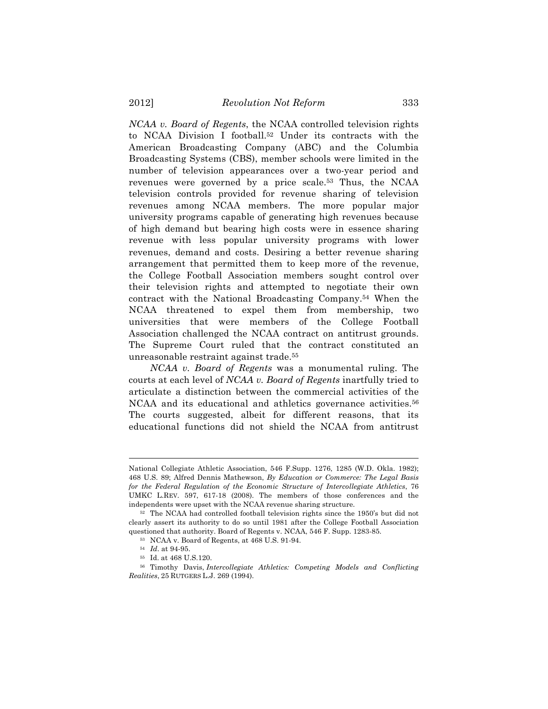*NCAA v. Board of Regents*, the NCAA controlled television rights to NCAA Division I football.52 Under its contracts with the American Broadcasting Company (ABC) and the Columbia Broadcasting Systems (CBS), member schools were limited in the number of television appearances over a two-year period and revenues were governed by a price scale.53 Thus, the NCAA television controls provided for revenue sharing of television revenues among NCAA members. The more popular major university programs capable of generating high revenues because of high demand but bearing high costs were in essence sharing revenue with less popular university programs with lower revenues, demand and costs. Desiring a better revenue sharing arrangement that permitted them to keep more of the revenue, the College Football Association members sought control over their television rights and attempted to negotiate their own contract with the National Broadcasting Company.54 When the NCAA threatened to expel them from membership, two universities that were members of the College Football Association challenged the NCAA contract on antitrust grounds. The Supreme Court ruled that the contract constituted an unreasonable restraint against trade.55

*NCAA v. Board of Regents* was a monumental ruling. The courts at each level of *NCAA v. Board of Regents* inartfully tried to articulate a distinction between the commercial activities of the NCAA and its educational and athletics governance activities.<sup>56</sup> The courts suggested, albeit for different reasons, that its educational functions did not shield the NCAA from antitrust

National Collegiate Athletic Association, 546 F.Supp. 1276, 1285 (W.D. Okla. 1982); 468 U.S. 89; Alfred Dennis Mathewson, *By Education or Commerce: The Legal Basis for the Federal Regulation of the Economic Structure of Intercollegiate Athletics*, 76 UMKC L.REV. 597, 617-18 (2008). The members of those conferences and the independents were upset with the NCAA revenue sharing structure.

<sup>52</sup> The NCAA had controlled football television rights since the 1950's but did not clearly assert its authority to do so until 1981 after the College Football Association questioned that authority. Board of Regents v. NCAA, 546 F. Supp. 1283-85.

<sup>53</sup> NCAA v. Board of Regents, at 468 U.S. 91-94.

<sup>54</sup> *Id*. at 94-95.

<sup>55</sup> Id. at 468 U.S.120.

<sup>56</sup> Timothy Davis, *Intercollegiate Athletics: Competing Models and Conflicting Realities*, 25 RUTGERS L.J. 269 (1994).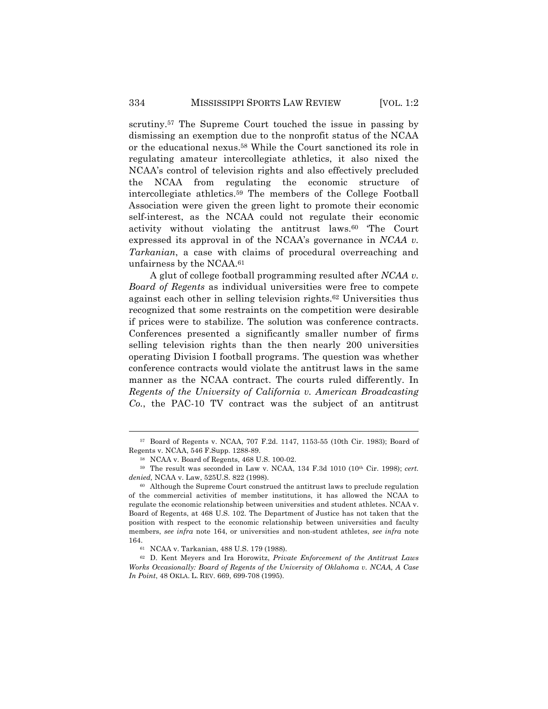scrutiny.57 The Supreme Court touched the issue in passing by dismissing an exemption due to the nonprofit status of the NCAA or the educational nexus.58 While the Court sanctioned its role in regulating amateur intercollegiate athletics, it also nixed the NCAA's control of television rights and also effectively precluded the NCAA from regulating the economic structure of intercollegiate athletics.59 The members of the College Football Association were given the green light to promote their economic self-interest, as the NCAA could not regulate their economic activity without violating the antitrust laws.60 'The Court expressed its approval in of the NCAA's governance in *NCAA v. Tarkanian*, a case with claims of procedural overreaching and unfairness by the NCAA.61

A glut of college football programming resulted after *NCAA v. Board of Regents* as individual universities were free to compete against each other in selling television rights.62 Universities thus recognized that some restraints on the competition were desirable if prices were to stabilize. The solution was conference contracts. Conferences presented a significantly smaller number of firms selling television rights than the then nearly 200 universities operating Division I football programs. The question was whether conference contracts would violate the antitrust laws in the same manner as the NCAA contract. The courts ruled differently. In *Regents of the University of California v. American Broadcasting Co.*, the PAC-10 TV contract was the subject of an antitrust

<sup>57</sup> Board of Regents v. NCAA, 707 F.2d. 1147, 1153-55 (10th Cir. 1983); Board of Regents v. NCAA, 546 F.Supp. 1288-89.

<sup>58</sup> NCAA v. Board of Regents, 468 U.S. 100-02.

<sup>59</sup> The result was seconded in Law v. NCAA, 134 F.3d 1010 (10th Cir. 1998); *cert. denied,* NCAA v. Law, 525U.S. 822 (1998).

<sup>60</sup> Although the Supreme Court construed the antitrust laws to preclude regulation of the commercial activities of member institutions, it has allowed the NCAA to regulate the economic relationship between universities and student athletes. NCAA v. Board of Regents, at 468 U.S. 102. The Department of Justice has not taken that the position with respect to the economic relationship between universities and faculty members, *see infra* note 164, or universities and non-student athletes, *see infra* note 164.

<sup>61</sup> NCAA v. Tarkanian, 488 U.S. 179 (1988).

<sup>62</sup> D. Kent Meyers and Ira Horowitz, *Private Enforcement of the Antitrust Laws Works Occasionally: Board of Regents of the University of Oklahoma v. NCAA, A Case In Point*, 48 OKLA. L. REV. 669, 699-708 (1995).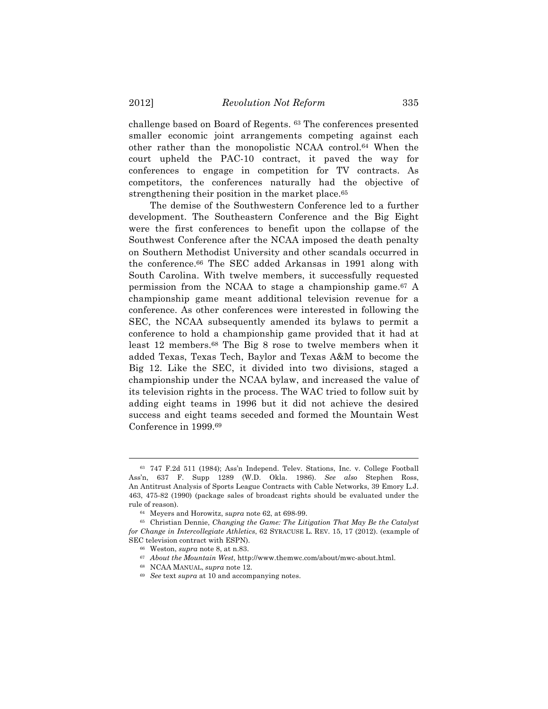challenge based on Board of Regents. <sup>63</sup> The conferences presented smaller economic joint arrangements competing against each other rather than the monopolistic NCAA control.64 When the court upheld the PAC-10 contract, it paved the way for conferences to engage in competition for TV contracts. As competitors, the conferences naturally had the objective of strengthening their position in the market place.<sup>65</sup>

The demise of the Southwestern Conference led to a further development. The Southeastern Conference and the Big Eight were the first conferences to benefit upon the collapse of the Southwest Conference after the NCAA imposed the death penalty on Southern Methodist University and other scandals occurred in the conference.66 The SEC added Arkansas in 1991 along with South Carolina. With twelve members, it successfully requested permission from the NCAA to stage a championship game.67 A championship game meant additional television revenue for a conference. As other conferences were interested in following the SEC, the NCAA subsequently amended its bylaws to permit a conference to hold a championship game provided that it had at least 12 members.68 The Big 8 rose to twelve members when it added Texas, Texas Tech, Baylor and Texas A&M to become the Big 12. Like the SEC, it divided into two divisions, staged a championship under the NCAA bylaw, and increased the value of its television rights in the process. The WAC tried to follow suit by adding eight teams in 1996 but it did not achieve the desired success and eight teams seceded and formed the Mountain West Conference in 1999.69

<sup>63</sup> 747 F.2d 511 (1984); Ass'n Independ. Telev. Stations, Inc. v. College Football Ass'n, 637 F. Supp 1289 (W.D. Okla. 1986). *See also* Stephen Ross, An Antitrust Analysis of Sports League Contracts with Cable Networks, 39 Emory L.J. 463, 475-82 (1990) (package sales of broadcast rights should be evaluated under the rule of reason).

<sup>64</sup> Meyers and Horowitz, s*upra* note 62, at 698-99.

<sup>65</sup> Christian Dennie, *Changing the Game: The Litigation That May Be the Catalyst for Change in Intercollegiate Athletics*, 62 SYRACUSE L. REV. 15, 17 (2012). (example of SEC television contract with ESPN).

<sup>66</sup> Weston, *supra* note 8, at n.83.

<sup>67</sup> *About the Mountain West*, http://www.themwc.com/about/mwc-about.html.

<sup>68</sup> NCAA MANUAL, *supra* note 12.

<sup>69</sup> *See* text *supra* at 10 and accompanying notes.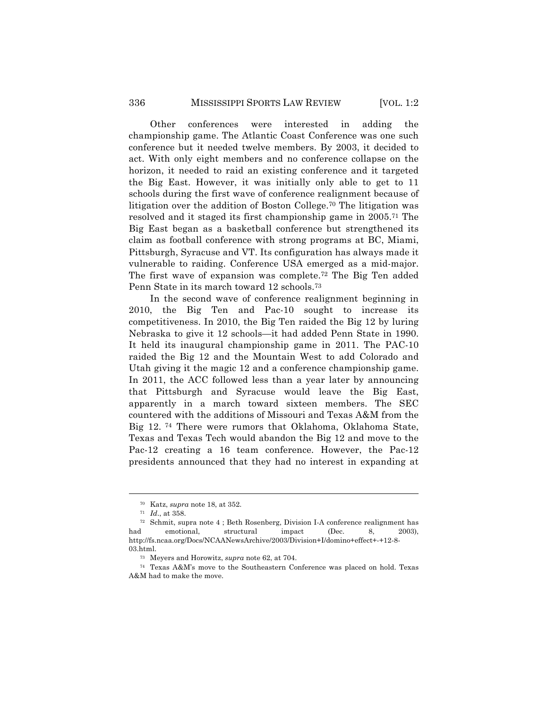Other conferences were interested in adding the championship game. The Atlantic Coast Conference was one such conference but it needed twelve members. By 2003, it decided to act. With only eight members and no conference collapse on the horizon, it needed to raid an existing conference and it targeted the Big East. However, it was initially only able to get to 11 schools during the first wave of conference realignment because of litigation over the addition of Boston College.70 The litigation was resolved and it staged its first championship game in 2005.71 The Big East began as a basketball conference but strengthened its claim as football conference with strong programs at BC, Miami, Pittsburgh, Syracuse and VT. Its configuration has always made it vulnerable to raiding. Conference USA emerged as a mid-major. The first wave of expansion was complete.72 The Big Ten added Penn State in its march toward 12 schools.73

In the second wave of conference realignment beginning in 2010, the Big Ten and Pac-10 sought to increase its competitiveness. In 2010, the Big Ten raided the Big 12 by luring Nebraska to give it 12 schools—it had added Penn State in 1990. It held its inaugural championship game in 2011. The PAC-10 raided the Big 12 and the Mountain West to add Colorado and Utah giving it the magic 12 and a conference championship game. In 2011, the ACC followed less than a year later by announcing that Pittsburgh and Syracuse would leave the Big East, apparently in a march toward sixteen members. The SEC countered with the additions of Missouri and Texas A&M from the Big 12. <sup>74</sup> There were rumors that Oklahoma, Oklahoma State, Texas and Texas Tech would abandon the Big 12 and move to the Pac-12 creating a 16 team conference. However, the Pac-12 presidents announced that they had no interest in expanding at

<sup>70</sup> Katz, *supra* note 18, at 352.

<sup>71</sup> *Id*., at 358.

<sup>72</sup> Schmit, supra note 4 ; Beth Rosenberg, Division I-A conference realignment has had emotional, structural impact (Dec. 8, 2003), http://fs.ncaa.org/Docs/NCAANewsArchive/2003/Division+I/domino+effect+-+12-8- 03.html.

<sup>73</sup> Meyers and Horowitz, *supra* note 62, at 704.

<sup>74</sup> Texas A&M's move to the Southeastern Conference was placed on hold. Texas A&M had to make the move.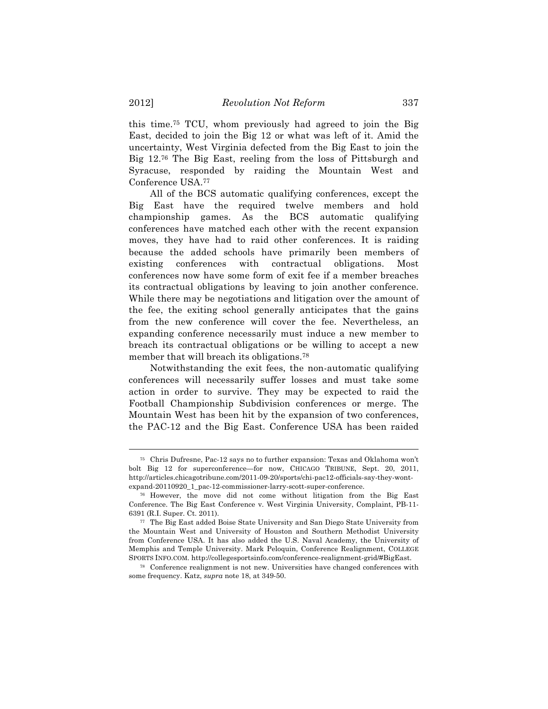this time.75 TCU, whom previously had agreed to join the Big East, decided to join the Big 12 or what was left of it. Amid the uncertainty, West Virginia defected from the Big East to join the Big 12.76 The Big East, reeling from the loss of Pittsburgh and Syracuse, responded by raiding the Mountain West and Conference USA.77

All of the BCS automatic qualifying conferences, except the Big East have the required twelve members and hold championship games. As the BCS automatic qualifying conferences have matched each other with the recent expansion moves, they have had to raid other conferences. It is raiding because the added schools have primarily been members of existing conferences with contractual obligations. Most conferences now have some form of exit fee if a member breaches its contractual obligations by leaving to join another conference. While there may be negotiations and litigation over the amount of the fee, the exiting school generally anticipates that the gains from the new conference will cover the fee. Nevertheless, an expanding conference necessarily must induce a new member to breach its contractual obligations or be willing to accept a new member that will breach its obligations.<sup>78</sup>

Notwithstanding the exit fees, the non-automatic qualifying conferences will necessarily suffer losses and must take some action in order to survive. They may be expected to raid the Football Championship Subdivision conferences or merge. The Mountain West has been hit by the expansion of two conferences, the PAC-12 and the Big East. Conference USA has been raided

<sup>75</sup> Chris Dufresne, Pac-12 says no to further expansion: Texas and Oklahoma won't bolt Big 12 for superconference—for now, CHICAGO TRIBUNE, Sept. 20, 2011, http://articles.chicagotribune.com/2011-09-20/sports/chi-pac12-officials-say-they-wontexpand-20110920\_1\_pac-12-commissioner-larry-scott-super-conference.

<sup>76</sup> However, the move did not come without litigation from the Big East Conference. The Big East Conference v. West Virginia University, Complaint, PB-11- 6391 (R.I. Super. Ct. 2011).

<sup>77</sup> The Big East added Boise State University and San Diego State University from the Mountain West and University of Houston and Southern Methodist University from Conference USA. It has also added the U.S. Naval Academy, the University of Memphis and Temple University. Mark Peloquin, Conference Realignment, COLLEGE SPORTS INFO.COM. http://collegesportsinfo.com/conference-realignment-grid/#BigEast.

<sup>78</sup> Conference realignment is not new. Universities have changed conferences with some frequency. Katz, *supra* note 18, at 349-50.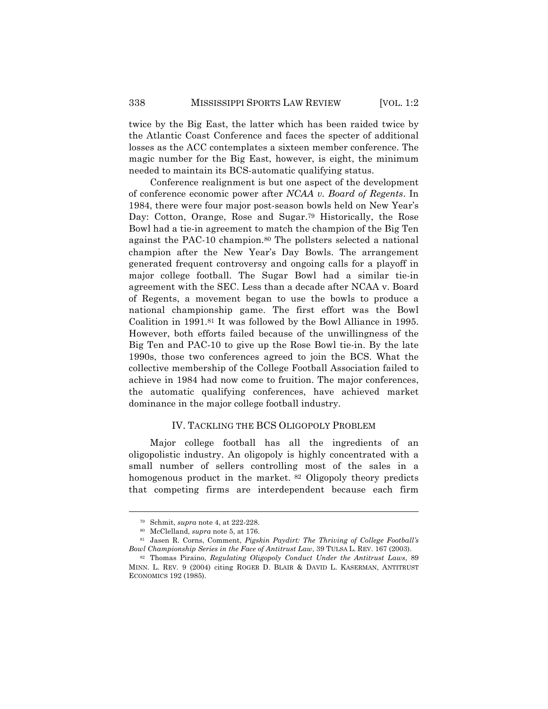twice by the Big East, the latter which has been raided twice by the Atlantic Coast Conference and faces the specter of additional losses as the ACC contemplates a sixteen member conference. The magic number for the Big East, however, is eight, the minimum needed to maintain its BCS-automatic qualifying status.

Conference realignment is but one aspect of the development of conference economic power after *NCAA v. Board of Regents*. In 1984, there were four major post-season bowls held on New Year's Day: Cotton, Orange, Rose and Sugar.79 Historically, the Rose Bowl had a tie-in agreement to match the champion of the Big Ten against the PAC-10 champion.80 The pollsters selected a national champion after the New Year's Day Bowls. The arrangement generated frequent controversy and ongoing calls for a playoff in major college football. The Sugar Bowl had a similar tie-in agreement with the SEC. Less than a decade after NCAA v. Board of Regents, a movement began to use the bowls to produce a national championship game. The first effort was the Bowl Coalition in 1991.81 It was followed by the Bowl Alliance in 1995. However, both efforts failed because of the unwillingness of the Big Ten and PAC-10 to give up the Rose Bowl tie-in. By the late 1990s, those two conferences agreed to join the BCS. What the collective membership of the College Football Association failed to achieve in 1984 had now come to fruition. The major conferences, the automatic qualifying conferences, have achieved market dominance in the major college football industry.

#### IV. TACKLING THE BCS OLIGOPOLY PROBLEM

Major college football has all the ingredients of an oligopolistic industry. An oligopoly is highly concentrated with a small number of sellers controlling most of the sales in a homogenous product in the market. <sup>82</sup> Oligopoly theory predicts that competing firms are interdependent because each firm

<sup>79</sup> Schmit, *supra* note 4, at 222-228.

<sup>80</sup> McClelland, *supra* note 5, at 176.

<sup>81</sup> Jasen R. Corns, Comment, *Pigskin Paydirt: The Thriving of College Football's Bowl Championship Series in the Face of Antitrust Law*, 39 TULSA L. REV. 167 (2003).

<sup>82</sup> Thomas Piraino, *Regulating Oligopoly Conduct Under the Antitrust Laws*, 89 MINN. L. REV. 9 (2004) citing ROGER D. BLAIR & DAVID L. KASERMAN, ANTITRUST ECONOMICS 192 (1985).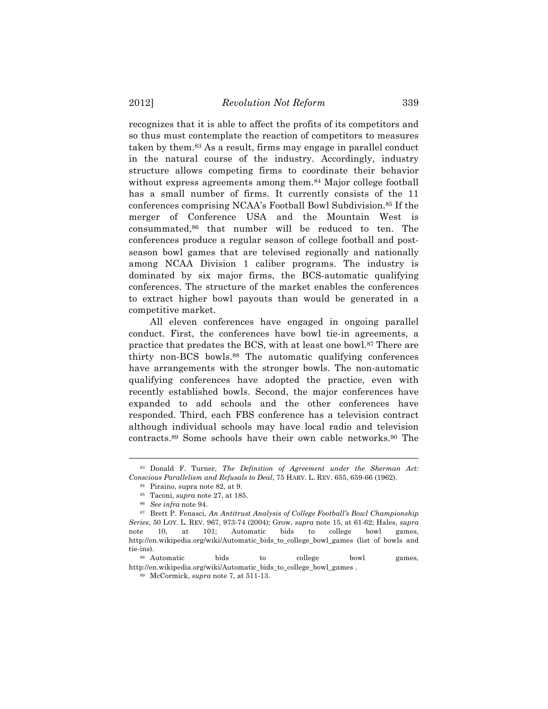recognizes that it is able to affect the profits of its competitors and so thus must contemplate the reaction of competitors to measures taken by them.83 As a result, firms may engage in parallel conduct in the natural course of the industry. Accordingly, industry structure allows competing firms to coordinate their behavior without express agreements among them.<sup>84</sup> Major college football has a small number of firms. It currently consists of the 11 conferences comprising NCAA's Football Bowl Subdivision.85 If the merger of Conference USA and the Mountain West is consummated,86 that number will be reduced to ten. The conferences produce a regular season of college football and postseason bowl games that are televised regionally and nationally among NCAA Division 1 caliber programs. The industry is dominated by six major firms, the BCS-automatic qualifying conferences. The structure of the market enables the conferences to extract higher bowl payouts than would be generated in a competitive market.

All eleven conferences have engaged in ongoing parallel conduct. First, the conferences have bowl tie-in agreements, a practice that predates the BCS, with at least one bowl.87 There are thirty non-BCS bowls.88 The automatic qualifying conferences have arrangements with the stronger bowls. The non-automatic qualifying conferences have adopted the practice, even with recently established bowls. Second, the major conferences have expanded to add schools and the other conferences have responded. Third, each FBS conference has a television contract although individual schools may have local radio and television contracts.89 Some schools have their own cable networks.90 The

<sup>83</sup> Donald F. Turner, *The Definition of Agreement under the Sherman Act: Conscious Parallelism and Refusals to Deal*, 75 HARV. L. REV. 655, 659-66 (1962).

<sup>84</sup> Piraino, supra note 82, at 9.

<sup>85</sup> Taconi, *supra* note 27, at 185.

<sup>86</sup> *See infra* note 94.

<sup>87</sup> Brett P. Fenasci, *An Antitrust Analysis of College Football's Bowl Championship Series*, 50 LOY. L. REV. 967, 973-74 (2004); Grow, *supra* note 15, at 61-62; Hales, *supra* note 10, at 101; Automatic bids to college bowl games, http://en.wikipedia.org/wiki/Automatic\_bids\_to\_college\_bowl\_games (list of bowls and tie-ins).

<sup>88</sup> Automatic bids to college bowl games, http://en.wikipedia.org/wiki/Automatic\_bids\_to\_college\_bowl\_games .

<sup>89</sup> McCormick, *supra* note 7, at 511-13.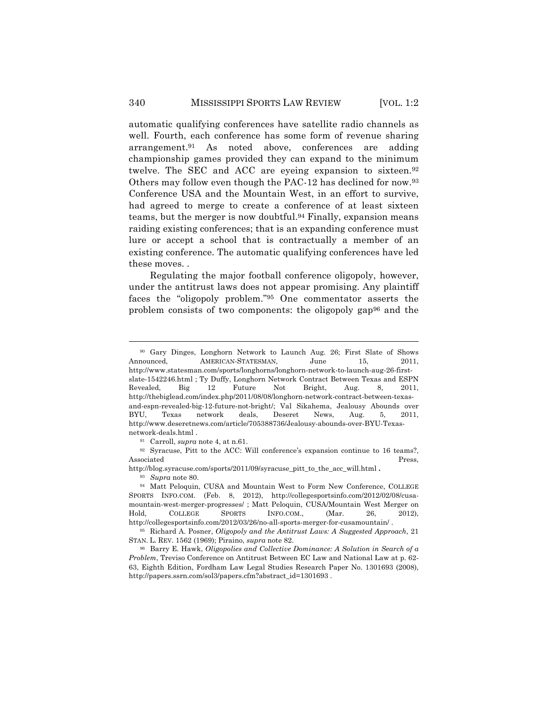automatic qualifying conferences have satellite radio channels as well. Fourth, each conference has some form of revenue sharing arrangement.91 As noted above, conferences are adding championship games provided they can expand to the minimum twelve. The SEC and ACC are eyeing expansion to sixteen.92 Others may follow even though the PAC-12 has declined for now.93 Conference USA and the Mountain West, in an effort to survive, had agreed to merge to create a conference of at least sixteen teams, but the merger is now doubtful.94 Finally, expansion means raiding existing conferences; that is an expanding conference must lure or accept a school that is contractually a member of an existing conference. The automatic qualifying conferences have led these moves. .

Regulating the major football conference oligopoly, however, under the antitrust laws does not appear promising. Any plaintiff faces the "oligopoly problem."95 One commentator asserts the problem consists of two components: the oligopoly gap96 and the

<sup>91</sup> Carroll, *supra* note 4, at n.61.

92 Syracuse, Pitt to the ACC: Will conference's expansion continue to 16 teams?, Associated Press,

http://blog.syracuse.com/sports/2011/09/syracuse\_pitt\_to\_the\_acc\_will.html **.**

<sup>93</sup> *Supra* note 80.

<sup>90</sup> Gary Dinges, Longhorn Network to Launch Aug. 26; First Slate of Shows Announced, **AMERICAN-STATESMAN,** June 15, 2011, http://www.statesman.com/sports/longhorns/longhorn-network-to-launch-aug-26-firstslate-1542246.html ; Ty Duffy, Longhorn Network Contract Between Texas and ESPN Revealed, Big 12 Future Not Bright, Aug. 8, 2011, http://thebiglead.com/index.php/2011/08/08/longhorn-network-contract-between-texasand-espn-revealed-big-12-future-not-bright/; Val Sikahema, Jealousy Abounds over BYU, Texas network deals, Deseret News, Aug. 5, 2011, http://www.deseretnews.com/article/705388736/Jealousy-abounds-over-BYU-Texasnetwork-deals.html .

<sup>94</sup> Matt Peloquin, CUSA and Mountain West to Form New Conference, COLLEGE SPORTS INFO.COM. (Feb. 8, 2012), http://collegesportsinfo.com/2012/02/08/cusamountain-west-merger-progresses/ ; Matt Peloquin, CUSA/Mountain West Merger on Hold, COLLEGE SPORTS INFO.COM., (Mar. 26, 2012), http://collegesportsinfo.com/2012/03/26/no-all-sports-merger-for-cusamountain/ .

<sup>95</sup> Richard A. Posner, *Oligopoly and the Antitrust Laws: A Suggested Approach*, 21 STAN. L. REV. 1562 (1969); Piraino, *supra* note 82.

<sup>96</sup> Barry E. Hawk, *Oligopolies and Collective Dominance: A Solution in Search of a Problem*, Treviso Conference on Antitrust Between EC Law and National Law at p. 62- 63, Eighth Edition, Fordham Law Legal Studies Research Paper No. 1301693 (2008), http://papers.ssrn.com/sol3/papers.cfm?abstract\_id=1301693 .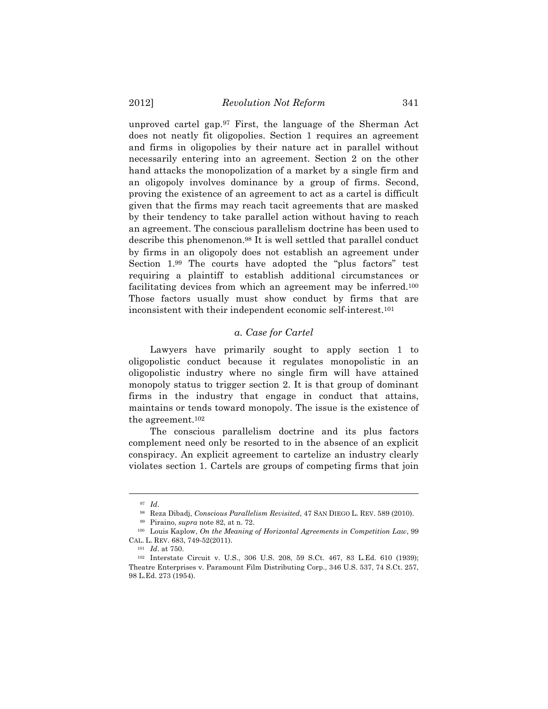unproved cartel gap.97 First, the language of the Sherman Act does not neatly fit oligopolies. Section 1 requires an agreement and firms in oligopolies by their nature act in parallel without necessarily entering into an agreement. Section 2 on the other hand attacks the monopolization of a market by a single firm and an oligopoly involves dominance by a group of firms. Second, proving the existence of an agreement to act as a cartel is difficult given that the firms may reach tacit agreements that are masked by their tendency to take parallel action without having to reach an agreement. The conscious parallelism doctrine has been used to describe this phenomenon.98 It is well settled that parallel conduct by firms in an oligopoly does not establish an agreement under Section 1.99 The courts have adopted the "plus factors" test requiring a plaintiff to establish additional circumstances or facilitating devices from which an agreement may be inferred.100 Those factors usually must show conduct by firms that are inconsistent with their independent economic self-interest.101

#### *a. Case for Cartel*

Lawyers have primarily sought to apply section 1 to oligopolistic conduct because it regulates monopolistic in an oligopolistic industry where no single firm will have attained monopoly status to trigger section 2. It is that group of dominant firms in the industry that engage in conduct that attains, maintains or tends toward monopoly. The issue is the existence of the agreement.102

The conscious parallelism doctrine and its plus factors complement need only be resorted to in the absence of an explicit conspiracy. An explicit agreement to cartelize an industry clearly violates section 1. Cartels are groups of competing firms that join

<sup>97</sup> *Id*.

<sup>98</sup> Reza Dibadj, *Conscious Parallelism Revisited*, 47 SAN DIEGO L. REV. 589 (2010).

<sup>99</sup> Piraino, *supra* note 82, at n. 72.

<sup>100</sup> Louis Kaplow, *On the Meaning of Horizontal Agreements in Competition Law*, 99 CAL. L. REV. 683, 749-52(2011).

<sup>101</sup> *Id*. at 750.

<sup>102</sup> Interstate Circuit v. U.S., 306 U.S. 208, 59 S.Ct. 467, 83 L.Ed. 610 (1939); Theatre Enterprises v. Paramount Film Distributing Corp., 346 U.S. 537, 74 S.Ct. 257, 98 L.Ed. 273 (1954).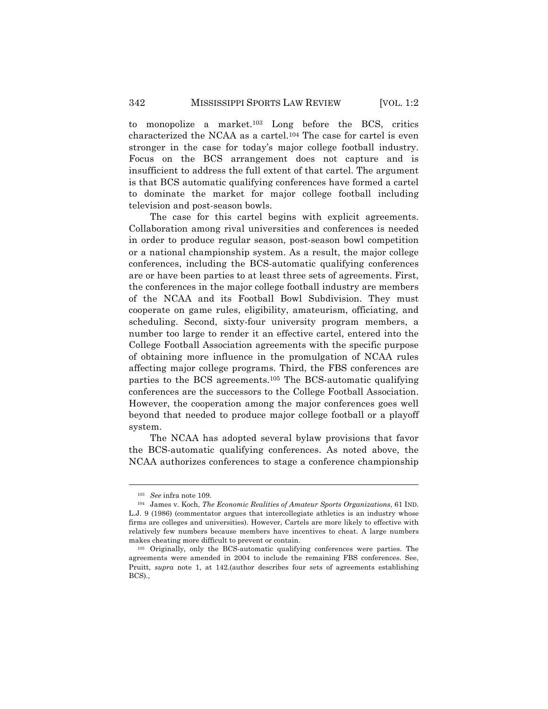to monopolize a market.103 Long before the BCS, critics characterized the NCAA as a cartel.104 The case for cartel is even stronger in the case for today's major college football industry. Focus on the BCS arrangement does not capture and is insufficient to address the full extent of that cartel. The argument is that BCS automatic qualifying conferences have formed a cartel to dominate the market for major college football including television and post-season bowls.

The case for this cartel begins with explicit agreements. Collaboration among rival universities and conferences is needed in order to produce regular season, post-season bowl competition or a national championship system. As a result, the major college conferences, including the BCS-automatic qualifying conferences are or have been parties to at least three sets of agreements. First, the conferences in the major college football industry are members of the NCAA and its Football Bowl Subdivision. They must cooperate on game rules, eligibility, amateurism, officiating, and scheduling. Second, sixty-four university program members, a number too large to render it an effective cartel, entered into the College Football Association agreements with the specific purpose of obtaining more influence in the promulgation of NCAA rules affecting major college programs. Third, the FBS conferences are parties to the BCS agreements.105 The BCS-automatic qualifying conferences are the successors to the College Football Association. However, the cooperation among the major conferences goes well beyond that needed to produce major college football or a playoff system.

The NCAA has adopted several bylaw provisions that favor the BCS-automatic qualifying conferences. As noted above, the NCAA authorizes conferences to stage a conference championship

<sup>103</sup> *See* infra note 109.

<sup>104</sup> James v. Koch, *The Economic Realities of Amateur Sports Organizations*, 61 IND. L.J. 9 (1986) (commentator argues that intercollegiate athletics is an industry whose firms are colleges and universities). However, Cartels are more likely to effective with relatively few numbers because members have incentives to cheat. A large numbers makes cheating more difficult to prevent or contain.

<sup>105</sup> Originally, only the BCS-automatic qualifying conferences were parties. The agreements were amended in 2004 to include the remaining FBS conferences. See, Pruitt*, supra* note 1, at 142.(author describes four sets of agreements establishing BCS).,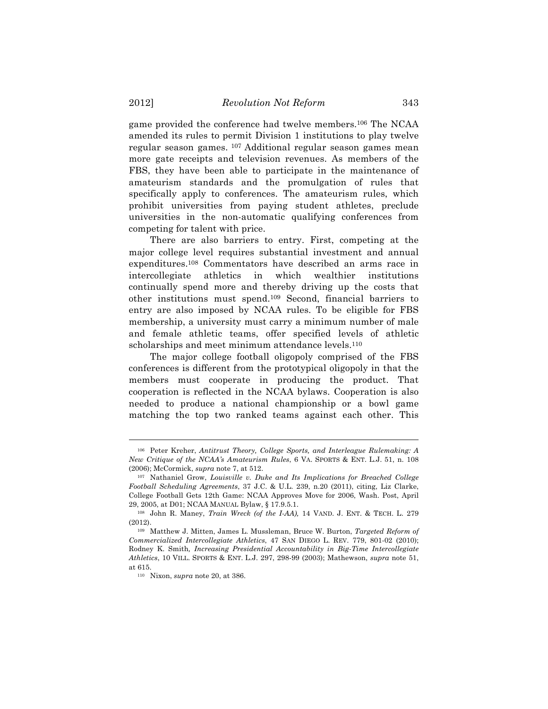game provided the conference had twelve members.106 The NCAA amended its rules to permit Division 1 institutions to play twelve regular season games. <sup>107</sup> Additional regular season games mean more gate receipts and television revenues. As members of the FBS, they have been able to participate in the maintenance of amateurism standards and the promulgation of rules that specifically apply to conferences. The amateurism rules, which prohibit universities from paying student athletes, preclude universities in the non-automatic qualifying conferences from competing for talent with price.

There are also barriers to entry. First, competing at the major college level requires substantial investment and annual expenditures.108 Commentators have described an arms race in intercollegiate athletics in which wealthier institutions continually spend more and thereby driving up the costs that other institutions must spend.109 Second, financial barriers to entry are also imposed by NCAA rules. To be eligible for FBS membership, a university must carry a minimum number of male and female athletic teams, offer specified levels of athletic scholarships and meet minimum attendance levels.<sup>110</sup>

The major college football oligopoly comprised of the FBS conferences is different from the prototypical oligopoly in that the members must cooperate in producing the product. That cooperation is reflected in the NCAA bylaws. Cooperation is also needed to produce a national championship or a bowl game matching the top two ranked teams against each other. This

<sup>106</sup> Peter Kreher, *Antitrust Theory, College Sports, and Interleague Rulemaking: A New Critique of the NCAA's Amateurism Rules*, 6 VA. SPORTS & ENT. L.J. 51, n. 108 (2006); McCormick, *supra* note 7, at 512.

<sup>107</sup> Nathaniel Grow, *Louisville v. Duke and Its Implications for Breached College Football Scheduling Agreements*, 37 J.C. & U.L. 239, n.20 (2011), citing, Liz Clarke, College Football Gets 12th Game: NCAA Approves Move for 2006, Wash. Post, April 29, 2005, at D01; NCAA MANUAL Bylaw, § 17.9.5.1.

<sup>108</sup> John R. Maney, *Train Wreck (of the I-AA),* 14 VAND. J. ENT. & TECH. L. 279 (2012).

<sup>109</sup> Matthew J. Mitten, James L. Mussleman, Bruce W. Burton, *Targeted Reform of Commercialized Intercollegiate Athletics*, 47 SAN DIEGO L. REV. 779, 801-02 (2010); Rodney K. Smith*, Increasing Presidential Accountability in Big-Time Intercollegiate Athletics*, 10 VILL. SPORTS & ENT. L.J. 297, 298-99 (2003); Mathewson, *supra* note 51, at 615.

<sup>110</sup> Nixon, *supra* note 20, at 386.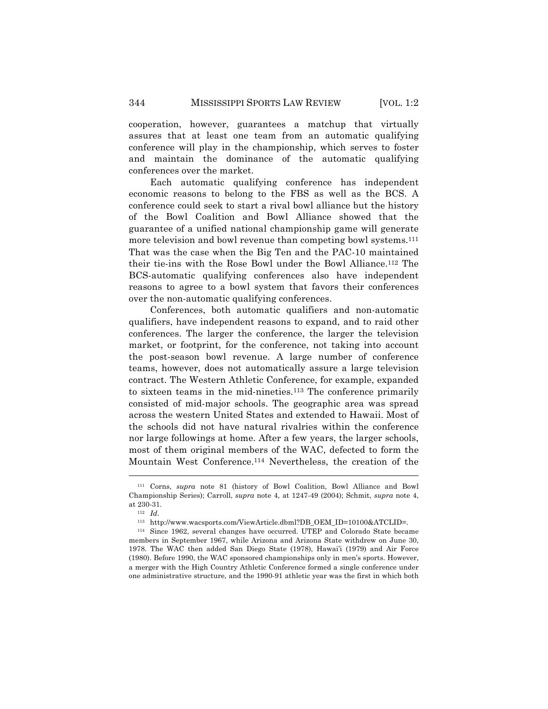cooperation, however, guarantees a matchup that virtually assures that at least one team from an automatic qualifying conference will play in the championship, which serves to foster and maintain the dominance of the automatic qualifying conferences over the market.

Each automatic qualifying conference has independent economic reasons to belong to the FBS as well as the BCS. A conference could seek to start a rival bowl alliance but the history of the Bowl Coalition and Bowl Alliance showed that the guarantee of a unified national championship game will generate more television and bowl revenue than competing bowl systems.111 That was the case when the Big Ten and the PAC-10 maintained their tie-ins with the Rose Bowl under the Bowl Alliance.112 The BCS-automatic qualifying conferences also have independent reasons to agree to a bowl system that favors their conferences over the non-automatic qualifying conferences.

Conferences, both automatic qualifiers and non-automatic qualifiers, have independent reasons to expand, and to raid other conferences. The larger the conference, the larger the television market, or footprint, for the conference, not taking into account the post-season bowl revenue. A large number of conference teams, however, does not automatically assure a large television contract. The Western Athletic Conference, for example, expanded to sixteen teams in the mid-nineties.113 The conference primarily consisted of mid-major schools. The geographic area was spread across the western United States and extended to Hawaii. Most of the schools did not have natural rivalries within the conference nor large followings at home. After a few years, the larger schools, most of them original members of the WAC, defected to form the Mountain West Conference.114 Nevertheless, the creation of the

<sup>111</sup> Corns, *supra* note 81 (history of Bowl Coalition, Bowl Alliance and Bowl Championship Series); Carroll, *supra* note 4, at 1247-49 (2004); Schmit, *supra* note 4, at 230-31.

<sup>112</sup> *Id*.

<sup>113</sup> http://www.wacsports.com/ViewArticle.dbml?DB\_OEM\_ID=10100&ATCLID=.

<sup>114</sup> Since 1962, several changes have occurred. UTEP and Colorado State became members in September 1967, while Arizona and Arizona State withdrew on June 30, 1978. The WAC then added San Diego State (1978), Hawai'i (1979) and Air Force (1980). Before 1990, the WAC sponsored championships only in men's sports. However, a merger with the High Country Athletic Conference formed a single conference under one administrative structure, and the 1990-91 athletic year was the first in which both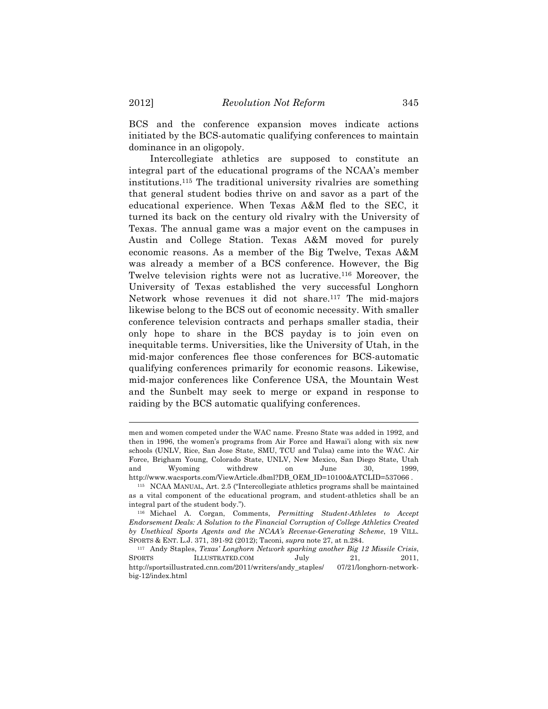BCS and the conference expansion moves indicate actions initiated by the BCS-automatic qualifying conferences to maintain dominance in an oligopoly.

Intercollegiate athletics are supposed to constitute an integral part of the educational programs of the NCAA's member institutions.115 The traditional university rivalries are something that general student bodies thrive on and savor as a part of the educational experience. When Texas A&M fled to the SEC, it turned its back on the century old rivalry with the University of Texas. The annual game was a major event on the campuses in Austin and College Station. Texas A&M moved for purely economic reasons. As a member of the Big Twelve, Texas A&M was already a member of a BCS conference. However, the Big Twelve television rights were not as lucrative.116 Moreover, the University of Texas established the very successful Longhorn Network whose revenues it did not share.117 The mid-majors likewise belong to the BCS out of economic necessity. With smaller conference television contracts and perhaps smaller stadia, their only hope to share in the BCS payday is to join even on inequitable terms. Universities, like the University of Utah, in the mid-major conferences flee those conferences for BCS-automatic qualifying conferences primarily for economic reasons. Likewise, mid-major conferences like Conference USA, the Mountain West and the Sunbelt may seek to merge or expand in response to raiding by the BCS automatic qualifying conferences.

men and women competed under the WAC name. Fresno State was added in 1992, and then in 1996, the women's programs from Air Force and Hawai'i along with six new schools (UNLV, Rice, San Jose State, SMU, TCU and Tulsa) came into the WAC. Air Force, Brigham Young, Colorado State, UNLV, New Mexico, San Diego State, Utah and Wyoming withdrew on June 30, 1999, http://www.wacsports.com/ViewArticle.dbml?DB\_OEM\_ID=10100&ATCLID=537066.

<sup>115</sup> NCAA MANUAL, Art. 2.5 ("Intercollegiate athletics programs shall be maintained as a vital component of the educational program, and student-athletics shall be an integral part of the student body.").

<sup>116</sup> Michael A. Corgan, Comments, *Permitting Student-Athletes to Accept Endorsement Deals: A Solution to the Financial Corruption of College Athletics Created by Unethical Sports Agents and the NCAA's Revenue-Generating Scheme*, 19 VILL. SPORTS & ENT. L.J. 371, 391-92 (2012); Taconi, *supra* note 27, at n.284.

<sup>117</sup> Andy Staples, *Texas' Longhorn Network sparking another Big 12 Missile Crisis*, SPORTS ILLUSTRATED.COM July 21, 2011, http://sportsillustrated.cnn.com/2011/writers/andy\_staples/ 07/21/longhorn-networkbig-12/index.html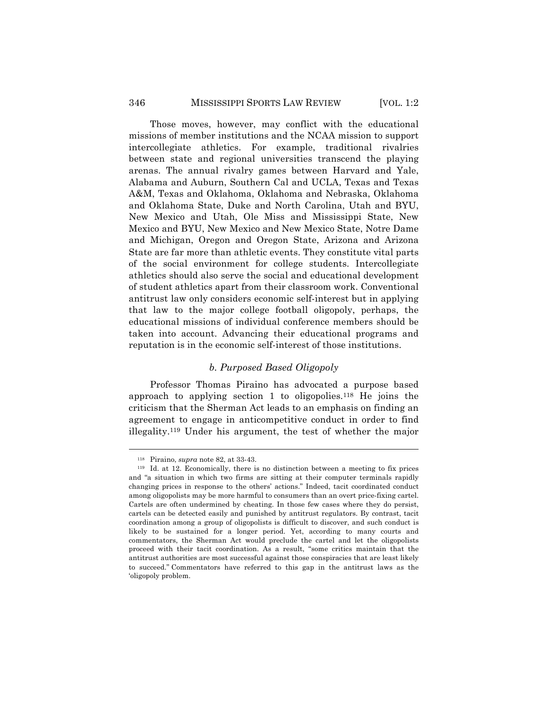Those moves, however, may conflict with the educational missions of member institutions and the NCAA mission to support intercollegiate athletics. For example, traditional rivalries between state and regional universities transcend the playing arenas. The annual rivalry games between Harvard and Yale, Alabama and Auburn, Southern Cal and UCLA, Texas and Texas A&M, Texas and Oklahoma, Oklahoma and Nebraska, Oklahoma and Oklahoma State, Duke and North Carolina, Utah and BYU, New Mexico and Utah, Ole Miss and Mississippi State, New Mexico and BYU, New Mexico and New Mexico State, Notre Dame and Michigan, Oregon and Oregon State, Arizona and Arizona State are far more than athletic events. They constitute vital parts of the social environment for college students. Intercollegiate athletics should also serve the social and educational development of student athletics apart from their classroom work. Conventional antitrust law only considers economic self-interest but in applying that law to the major college football oligopoly, perhaps, the educational missions of individual conference members should be taken into account. Advancing their educational programs and reputation is in the economic self-interest of those institutions.

## *b. Purposed Based Oligopoly*

Professor Thomas Piraino has advocated a purpose based approach to applying section 1 to oligopolies.<sup>118</sup> He joins the criticism that the Sherman Act leads to an emphasis on finding an agreement to engage in anticompetitive conduct in order to find illegality.119 Under his argument, the test of whether the major

<sup>118</sup> Piraino, *supra* note 82, at 33-43.

<sup>119</sup> Id. at 12. Economically, there is no distinction between a meeting to fix prices and "a situation in which two firms are sitting at their computer terminals rapidly changing prices in response to the others' actions." Indeed, tacit coordinated conduct among oligopolists may be more harmful to consumers than an overt price-fixing cartel. Cartels are often undermined by cheating. In those few cases where they do persist, cartels can be detected easily and punished by antitrust regulators. By contrast, tacit coordination among a group of oligopolists is difficult to discover, and such conduct is likely to be sustained for a longer period. Yet, according to many courts and commentators, the Sherman Act would preclude the cartel and let the oligopolists proceed with their tacit coordination. As a result, "some critics maintain that the antitrust authorities are most successful against those conspiracies that are least likely to succeed." Commentators have referred to this gap in the antitrust laws as the 'oligopoly problem.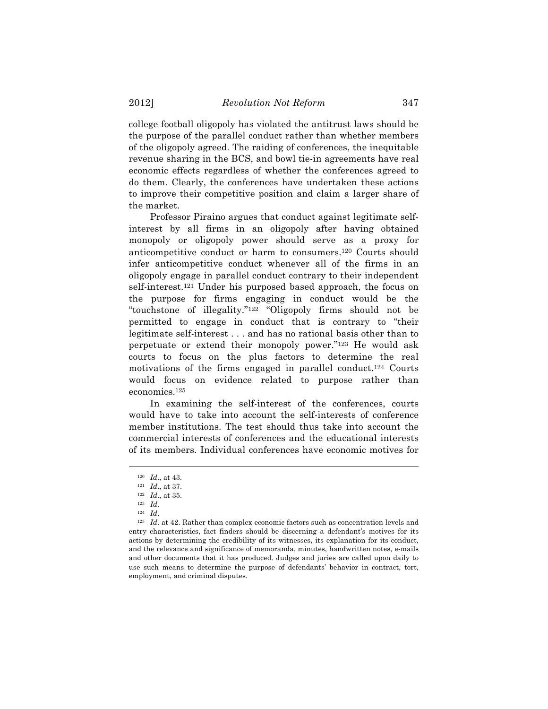college football oligopoly has violated the antitrust laws should be the purpose of the parallel conduct rather than whether members of the oligopoly agreed. The raiding of conferences, the inequitable revenue sharing in the BCS, and bowl tie-in agreements have real economic effects regardless of whether the conferences agreed to do them. Clearly, the conferences have undertaken these actions to improve their competitive position and claim a larger share of the market.

Professor Piraino argues that conduct against legitimate selfinterest by all firms in an oligopoly after having obtained monopoly or oligopoly power should serve as a proxy for anticompetitive conduct or harm to consumers.120 Courts should infer anticompetitive conduct whenever all of the firms in an oligopoly engage in parallel conduct contrary to their independent self-interest.121 Under his purposed based approach, the focus on the purpose for firms engaging in conduct would be the "touchstone of illegality."122 "Oligopoly firms should not be permitted to engage in conduct that is contrary to "their legitimate self-interest . . . and has no rational basis other than to perpetuate or extend their monopoly power."123 He would ask courts to focus on the plus factors to determine the real motivations of the firms engaged in parallel conduct.124 Courts would focus on evidence related to purpose rather than economics.125

In examining the self-interest of the conferences, courts would have to take into account the self-interests of conference member institutions. The test should thus take into account the commercial interests of conferences and the educational interests of its members. Individual conferences have economic motives for

 $\overline{a}$ 

<sup>125</sup> *Id*. at 42. Rather than complex economic factors such as concentration levels and entry characteristics, fact finders should be discerning a defendant's motives for its actions by determining the credibility of its witnesses, its explanation for its conduct, and the relevance and significance of memoranda, minutes, handwritten notes, e-mails and other documents that it has produced. Judges and juries are called upon daily to use such means to determine the purpose of defendants' behavior in contract, tort, employment, and criminal disputes.

<sup>120</sup> *Id*., at 43.

<sup>121</sup> *Id*., at 37.

<sup>122</sup> *Id*., at 35.

<sup>123</sup> *Id*.

<sup>124</sup> *Id*.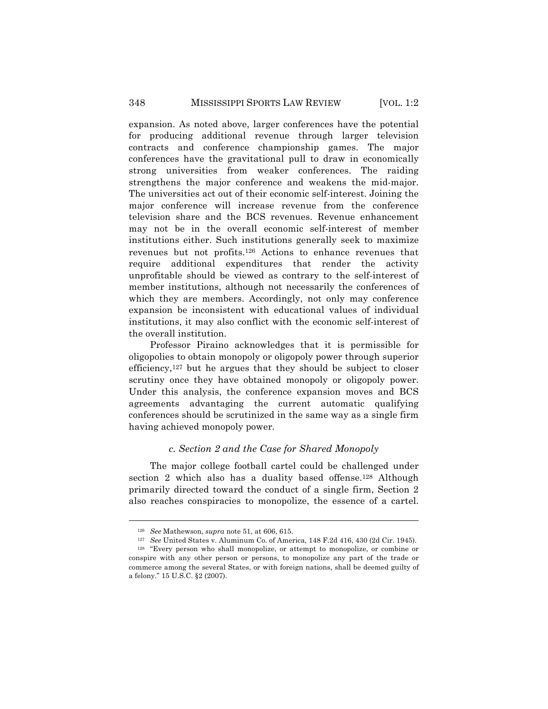expansion. As noted above, larger conferences have the potential for producing additional revenue through larger television contracts and conference championship games. The major conferences have the gravitational pull to draw in economically strong universities from weaker conferences. The raiding strengthens the major conference and weakens the mid-major. The universities act out of their economic self-interest. Joining the major conference will increase revenue from the conference television share and the BCS revenues. Revenue enhancement may not be in the overall economic self-interest of member institutions either. Such institutions generally seek to maximize revenues but not profits.126 Actions to enhance revenues that require additional expenditures that render the activity unprofitable should be viewed as contrary to the self-interest of member institutions, although not necessarily the conferences of which they are members. Accordingly, not only may conference expansion be inconsistent with educational values of individual institutions, it may also conflict with the economic self-interest of the overall institution.

Professor Piraino acknowledges that it is permissible for oligopolies to obtain monopoly or oligopoly power through superior efficiency,<sup>127</sup> but he argues that they should be subject to closer scrutiny once they have obtained monopoly or oligopoly power. Under this analysis, the conference expansion moves and BCS agreements advantaging the current automatic qualifying conferences should be scrutinized in the same way as a single firm having achieved monopoly power.

## *c. Section 2 and the Case for Shared Monopoly*

The major college football cartel could be challenged under section 2 which also has a duality based offense.<sup>128</sup> Although primarily directed toward the conduct of a single firm, Section 2 also reaches conspiracies to monopolize, the essence of a cartel.

<sup>126</sup> *See* Mathewson, *supra* note 51, at 606, 615.

<sup>127</sup> *See* United States v. Aluminum Co. of America, 148 F.2d 416, 430 (2d Cir. 1945). <sup>128</sup> "Every person who shall monopolize, or attempt to monopolize, or combine or conspire with any other person or persons, to monopolize any part of the trade or commerce among the several States, or with foreign nations, shall be deemed guilty of a felony." 15 U.S.C. §2 (2007).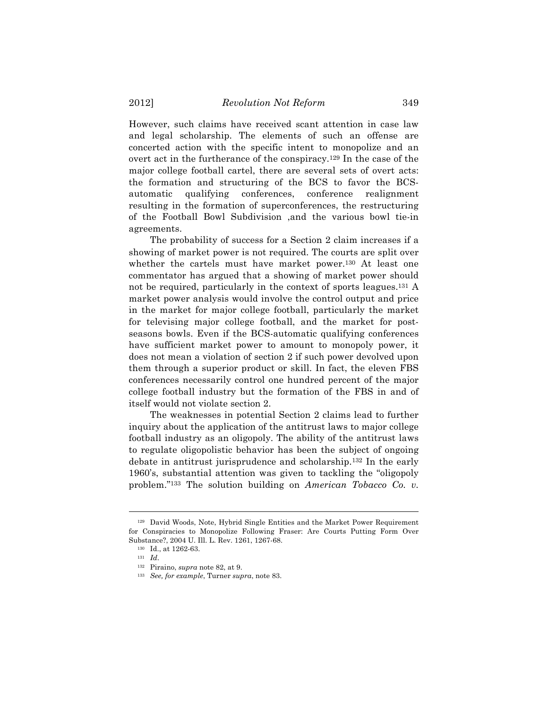However, such claims have received scant attention in case law and legal scholarship. The elements of such an offense are concerted action with the specific intent to monopolize and an overt act in the furtherance of the conspiracy.129 In the case of the major college football cartel, there are several sets of overt acts: the formation and structuring of the BCS to favor the BCSautomatic qualifying conferences, conference realignment resulting in the formation of superconferences, the restructuring of the Football Bowl Subdivision ,and the various bowl tie-in agreements.

The probability of success for a Section 2 claim increases if a showing of market power is not required. The courts are split over whether the cartels must have market power.<sup>130</sup> At least one commentator has argued that a showing of market power should not be required, particularly in the context of sports leagues.131 A market power analysis would involve the control output and price in the market for major college football, particularly the market for televising major college football, and the market for postseasons bowls. Even if the BCS-automatic qualifying conferences have sufficient market power to amount to monopoly power, it does not mean a violation of section 2 if such power devolved upon them through a superior product or skill. In fact, the eleven FBS conferences necessarily control one hundred percent of the major college football industry but the formation of the FBS in and of itself would not violate section 2.

The weaknesses in potential Section 2 claims lead to further inquiry about the application of the antitrust laws to major college football industry as an oligopoly. The ability of the antitrust laws to regulate oligopolistic behavior has been the subject of ongoing debate in antitrust jurisprudence and scholarship.132 In the early 1960's, substantial attention was given to tackling the "oligopoly problem."133 The solution building on *American Tobacco Co. v.* 

<sup>129</sup> David Woods, Note, Hybrid Single Entities and the Market Power Requirement for Conspiracies to Monopolize Following Fraser: Are Courts Putting Form Over Substance?, 2004 U. Ill. L. Rev. 1261, 1267-68.

<sup>130</sup> Id., at 1262-63.

<sup>131</sup> *Id*.

<sup>132</sup> Piraino, *supra* note 82, at 9.

<sup>133</sup> *See, for example*, Turner *supra*, note 83.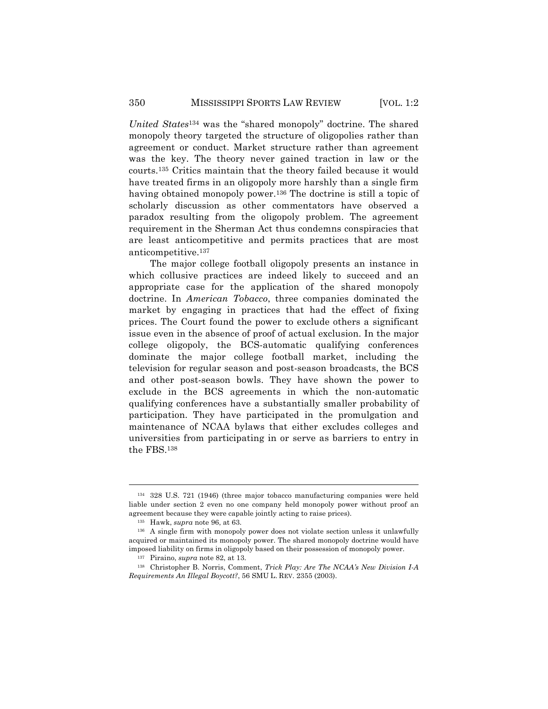*United States*<sup>134</sup> was the "shared monopoly" doctrine. The shared monopoly theory targeted the structure of oligopolies rather than agreement or conduct. Market structure rather than agreement was the key. The theory never gained traction in law or the courts.135 Critics maintain that the theory failed because it would have treated firms in an oligopoly more harshly than a single firm having obtained monopoly power.136 The doctrine is still a topic of scholarly discussion as other commentators have observed a paradox resulting from the oligopoly problem. The agreement requirement in the Sherman Act thus condemns conspiracies that are least anticompetitive and permits practices that are most anticompetitive.137

The major college football oligopoly presents an instance in which collusive practices are indeed likely to succeed and an appropriate case for the application of the shared monopoly doctrine. In *American Tobacco*, three companies dominated the market by engaging in practices that had the effect of fixing prices. The Court found the power to exclude others a significant issue even in the absence of proof of actual exclusion. In the major college oligopoly, the BCS-automatic qualifying conferences dominate the major college football market, including the television for regular season and post-season broadcasts, the BCS and other post-season bowls. They have shown the power to exclude in the BCS agreements in which the non-automatic qualifying conferences have a substantially smaller probability of participation. They have participated in the promulgation and maintenance of NCAA bylaws that either excludes colleges and universities from participating in or serve as barriers to entry in the FBS.138

<sup>134</sup> 328 U.S. 721 (1946) (three major tobacco manufacturing companies were held liable under section 2 even no one company held monopoly power without proof an agreement because they were capable jointly acting to raise prices).

<sup>135</sup> Hawk, *supra* note 96, at 63.

<sup>136</sup> A single firm with monopoly power does not violate section unless it unlawfully acquired or maintained its monopoly power. The shared monopoly doctrine would have imposed liability on firms in oligopoly based on their possession of monopoly power.

<sup>137</sup> Piraino, *supra* note 82, at 13.

<sup>138</sup> Christopher B. Norris, Comment, *Trick Play: Are The NCAA's New Division I-A Requirements An Illegal Boycott?*, 56 SMU L. REV. 2355 (2003).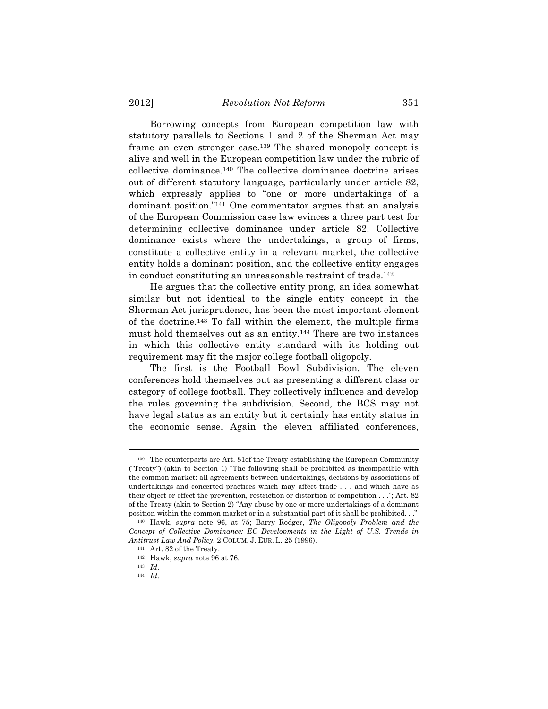Borrowing concepts from European competition law with statutory parallels to Sections 1 and 2 of the Sherman Act may frame an even stronger case.139 The shared monopoly concept is alive and well in the European competition law under the rubric of collective dominance.140 The collective dominance doctrine arises out of different statutory language, particularly under article 82, which expressly applies to "one or more undertakings of a dominant position."141 One commentator argues that an analysis of the European Commission case law evinces a three part test for determining collective dominance under article 82. Collective dominance exists where the undertakings, a group of firms, constitute a collective entity in a relevant market, the collective entity holds a dominant position, and the collective entity engages in conduct constituting an unreasonable restraint of trade.142

He argues that the collective entity prong, an idea somewhat similar but not identical to the single entity concept in the Sherman Act jurisprudence, has been the most important element of the doctrine.143 To fall within the element, the multiple firms must hold themselves out as an entity.144 There are two instances in which this collective entity standard with its holding out requirement may fit the major college football oligopoly.

The first is the Football Bowl Subdivision. The eleven conferences hold themselves out as presenting a different class or category of college football. They collectively influence and develop the rules governing the subdivision. Second, the BCS may not have legal status as an entity but it certainly has entity status in the economic sense. Again the eleven affiliated conferences,

<sup>139</sup> The counterparts are Art. 81of the Treaty establishing the European Community ("Treaty") (akin to Section 1) "The following shall be prohibited as incompatible with the common market: all agreements between undertakings, decisions by associations of undertakings and concerted practices which may affect trade . . . and which have as their object or effect the prevention, restriction or distortion of competition . . ."; Art. 82 of the Treaty (akin to Section 2) "Any abuse by one or more undertakings of a dominant position within the common market or in a substantial part of it shall be prohibited. . ."

<sup>140</sup> Hawk, *supra* note 96, at 75; Barry Rodger, *The Oligopoly Problem and the Concept of Collective Dominance: EC Developments in the Light of U.S. Trends in Antitrust Law And Policy*, 2 COLUM. J. EUR. L. 25 (1996).

<sup>141</sup> Art. 82 of the Treaty.

<sup>142</sup> Hawk, *supra* note 96 at 76.

<sup>143</sup> *Id*.

<sup>144</sup> *Id*.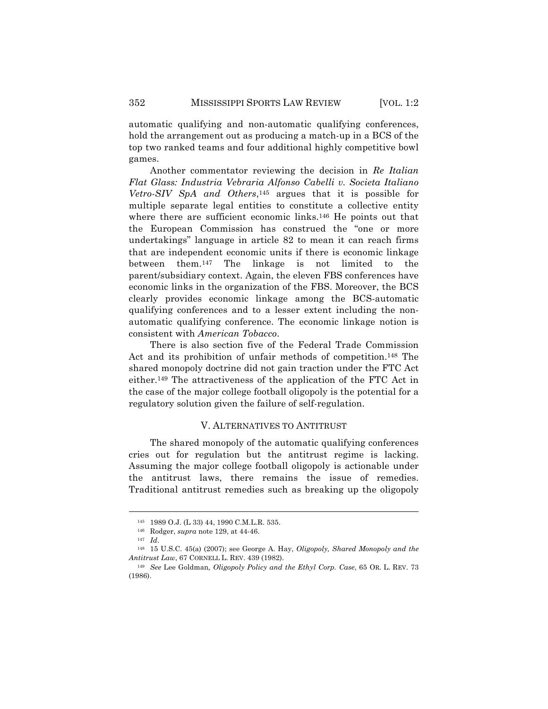automatic qualifying and non-automatic qualifying conferences, hold the arrangement out as producing a match-up in a BCS of the top two ranked teams and four additional highly competitive bowl games.

Another commentator reviewing the decision in *Re Italian Flat Glass: Industria Vebraria Alfonso Cabelli v. Societa Italiano Vetro-SIV SpA and Others*,145 argues that it is possible for multiple separate legal entities to constitute a collective entity where there are sufficient economic links.146 He points out that the European Commission has construed the "one or more undertakings" language in article 82 to mean it can reach firms that are independent economic units if there is economic linkage between them.147 The linkage is not limited to the parent/subsidiary context. Again, the eleven FBS conferences have economic links in the organization of the FBS. Moreover, the BCS clearly provides economic linkage among the BCS-automatic qualifying conferences and to a lesser extent including the nonautomatic qualifying conference. The economic linkage notion is consistent with *American Tobacco*.

There is also section five of the Federal Trade Commission Act and its prohibition of unfair methods of competition.148 The shared monopoly doctrine did not gain traction under the FTC Act either.149 The attractiveness of the application of the FTC Act in the case of the major college football oligopoly is the potential for a regulatory solution given the failure of self-regulation.

#### V. ALTERNATIVES TO ANTITRUST

The shared monopoly of the automatic qualifying conferences cries out for regulation but the antitrust regime is lacking. Assuming the major college football oligopoly is actionable under the antitrust laws, there remains the issue of remedies. Traditional antitrust remedies such as breaking up the oligopoly

<sup>145</sup> 1989 O.J. (L 33) 44, 1990 C.M.L.R. 535.

<sup>146</sup> Rodger, *supra* note 129, at 44-46.

<sup>147</sup> *Id*.

<sup>148</sup> 15 U.S.C. 45(a) (2007); see George A. Hay, *Oligopoly, Shared Monopoly and the Antitrust Law*, 67 CORNELL L. REV. 439 (1982).

<sup>149</sup> *See* Lee Goldman*, Oligopoly Policy and the Ethyl Corp. Case*, 65 OR. L. REV. 73 (1986).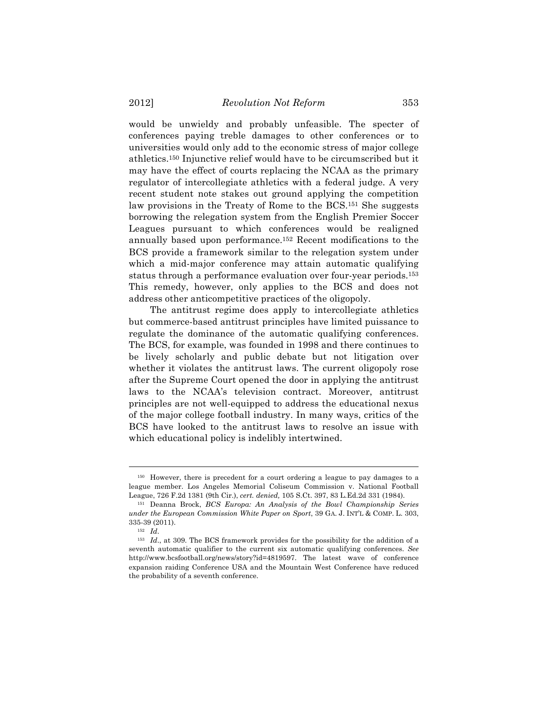would be unwieldy and probably unfeasible. The specter of conferences paying treble damages to other conferences or to universities would only add to the economic stress of major college athletics.150 Injunctive relief would have to be circumscribed but it may have the effect of courts replacing the NCAA as the primary regulator of intercollegiate athletics with a federal judge. A very recent student note stakes out ground applying the competition law provisions in the Treaty of Rome to the BCS.151 She suggests borrowing the relegation system from the English Premier Soccer Leagues pursuant to which conferences would be realigned annually based upon performance.152 Recent modifications to the BCS provide a framework similar to the relegation system under which a mid-major conference may attain automatic qualifying status through a performance evaluation over four-year periods.153 This remedy, however, only applies to the BCS and does not address other anticompetitive practices of the oligopoly.

The antitrust regime does apply to intercollegiate athletics but commerce-based antitrust principles have limited puissance to regulate the dominance of the automatic qualifying conferences. The BCS, for example, was founded in 1998 and there continues to be lively scholarly and public debate but not litigation over whether it violates the antitrust laws. The current oligopoly rose after the Supreme Court opened the door in applying the antitrust laws to the NCAA's television contract. Moreover, antitrust principles are not well-equipped to address the educational nexus of the major college football industry. In many ways, critics of the BCS have looked to the antitrust laws to resolve an issue with which educational policy is indelibly intertwined.

<sup>150</sup> However, there is precedent for a court ordering a league to pay damages to a league member. Los Angeles Memorial Coliseum Commission v. National Football League, 726 F.2d 1381 (9th Cir.), *cert. denied,* 105 S.Ct. 397, 83 L.Ed.2d 331 (1984).

<sup>151</sup> Deanna Brock, *BCS Europa: An Analysis of the Bowl Championship Series under the European Commission White Paper on Sport*, 39 GA. J. INT'L & COMP. L. 303, 335-39 (2011).

<sup>152</sup> *Id*.

<sup>153</sup> *Id*., at 309. The BCS framework provides for the possibility for the addition of a seventh automatic qualifier to the current six automatic qualifying conferences. *See* http://www.bcsfootball.org/news/story?id=4819597. The latest wave of conference expansion raiding Conference USA and the Mountain West Conference have reduced the probability of a seventh conference.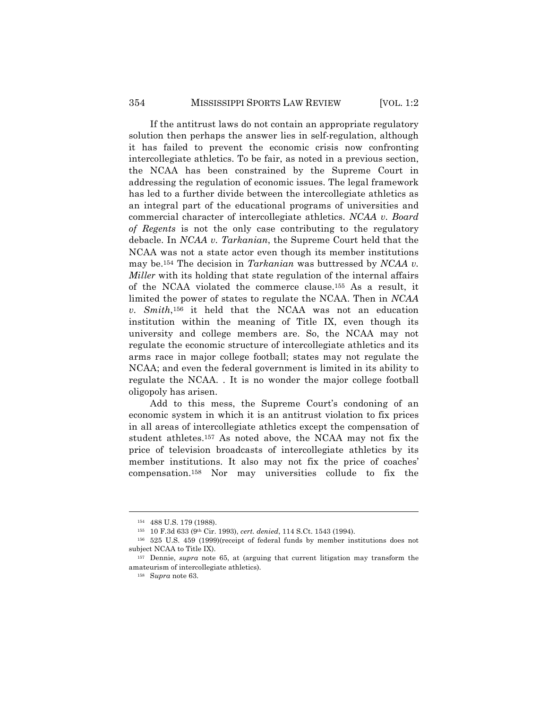If the antitrust laws do not contain an appropriate regulatory solution then perhaps the answer lies in self-regulation, although it has failed to prevent the economic crisis now confronting intercollegiate athletics. To be fair, as noted in a previous section, the NCAA has been constrained by the Supreme Court in addressing the regulation of economic issues. The legal framework has led to a further divide between the intercollegiate athletics as an integral part of the educational programs of universities and commercial character of intercollegiate athletics. *NCAA v. Board of Regents* is not the only case contributing to the regulatory debacle. In *NCAA v. Tarkanian*, the Supreme Court held that the NCAA was not a state actor even though its member institutions may be.154 The decision in *Tarkanian* was buttressed by *NCAA v. Miller* with its holding that state regulation of the internal affairs of the NCAA violated the commerce clause.155 As a result, it limited the power of states to regulate the NCAA. Then in *NCAA v. Smith*,156 it held that the NCAA was not an education institution within the meaning of Title IX, even though its university and college members are. So, the NCAA may not regulate the economic structure of intercollegiate athletics and its arms race in major college football; states may not regulate the NCAA; and even the federal government is limited in its ability to regulate the NCAA. . It is no wonder the major college football oligopoly has arisen.

Add to this mess, the Supreme Court's condoning of an economic system in which it is an antitrust violation to fix prices in all areas of intercollegiate athletics except the compensation of student athletes.157 As noted above, the NCAA may not fix the price of television broadcasts of intercollegiate athletics by its member institutions. It also may not fix the price of coaches' compensation.158 Nor may universities collude to fix the

<sup>154</sup> 488 U.S. 179 (1988).

<sup>155</sup> 10 F.3d 633 (9th Cir. 1993), *cert. denied*, 114 S.Ct. 1543 (1994).

<sup>156</sup> 525 U.S. 459 (1999)(receipt of federal funds by member institutions does not subject NCAA to Title IX).

<sup>157</sup> Dennie, *supra* note 65, at (arguing that current litigation may transform the amateurism of intercollegiate athletics).

<sup>158</sup> S*upra* note 63.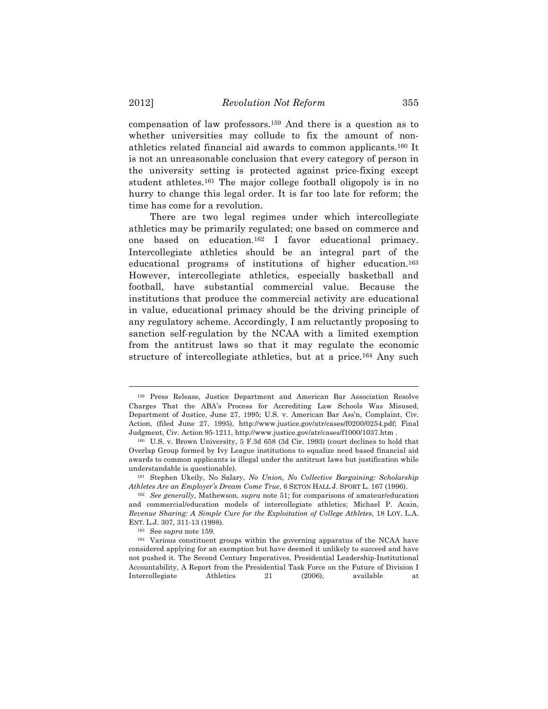compensation of law professors.159 And there is a question as to whether universities may collude to fix the amount of nonathletics related financial aid awards to common applicants.160 It is not an unreasonable conclusion that every category of person in the university setting is protected against price-fixing except student athletes.161 The major college football oligopoly is in no hurry to change this legal order. It is far too late for reform; the time has come for a revolution.

There are two legal regimes under which intercollegiate athletics may be primarily regulated; one based on commerce and one based on education.162 I favor educational primacy. Intercollegiate athletics should be an integral part of the educational programs of institutions of higher education.163 However, intercollegiate athletics, especially basketball and football, have substantial commercial value. Because the institutions that produce the commercial activity are educational in value, educational primacy should be the driving principle of any regulatory scheme. Accordingly, I am reluctantly proposing to sanction self-regulation by the NCAA with a limited exemption from the antitrust laws so that it may regulate the economic structure of intercollegiate athletics, but at a price.164 Any such

<sup>159</sup> Press Release, Justice Department and American Bar Association Resolve Charges That the ABA's Process for Accrediting Law Schools Was Misused, Department of Justice, June 27, 1995; U.S. v. American Bar Ass'n, Complaint, Civ. Action, (filed June 27, 1995), http://www.justice.gov/atr/cases/f0200/0254.pdf; Final Judgment, Civ. Action 95-1211, http://www.justice.gov/atr/cases/f1000/1037.htm .

<sup>160</sup> U.S. v. Brown University, 5 F.3d 658 (3d Cir. 1993) (court declines to hold that Overlap Group formed by Ivy League institutions to equalize need based financial aid awards to common applicants is illegal under the antitrust laws but justification while understandable is questionable).

<sup>161</sup> Stephen Ukeily, No Salary, *No Union, No Collective Bargaining: Scholarship Athletes Are an Employer's Dream Come True*, 6 SETON HALL J. SPORT L. 167 (1996).

<sup>162</sup> *See generally*, Mathewson, *supra* note 51; for comparisons of amateur/education and commercial/education models of intercollegiate athletics; Michael P. Acain, *Revenue Sharing: A Simple Cure for the Exploitation of College Athletes*, 18 LOY. L.A. ENT. L.J. 307, 311-13 (1998).

<sup>163</sup> See *supra* note 159.

<sup>164</sup> Various constituent groups within the governing apparatus of the NCAA have considered applying for an exemption but have deemed it unlikely to succeed and have not pushed it. The Second Century Imperatives, Presidential Leadership-Institutional Accountability, A Report from the Presidential Task Force on the Future of Division I Intercollegiate Athletics 21 (2006), available at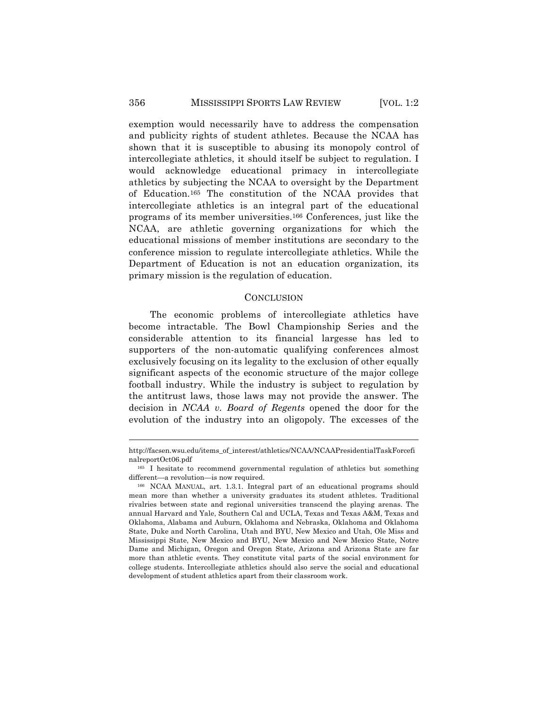## 356 MISSISSIPPI SPORTS LAW REVIEW [VOL. 1:2

exemption would necessarily have to address the compensation and publicity rights of student athletes. Because the NCAA has shown that it is susceptible to abusing its monopoly control of intercollegiate athletics, it should itself be subject to regulation. I would acknowledge educational primacy in intercollegiate athletics by subjecting the NCAA to oversight by the Department of Education.165 The constitution of the NCAA provides that intercollegiate athletics is an integral part of the educational programs of its member universities.166 Conferences, just like the NCAA, are athletic governing organizations for which the educational missions of member institutions are secondary to the conference mission to regulate intercollegiate athletics. While the Department of Education is not an education organization, its primary mission is the regulation of education.

## **CONCLUSION**

The economic problems of intercollegiate athletics have become intractable. The Bowl Championship Series and the considerable attention to its financial largesse has led to supporters of the non-automatic qualifying conferences almost exclusively focusing on its legality to the exclusion of other equally significant aspects of the economic structure of the major college football industry. While the industry is subject to regulation by the antitrust laws, those laws may not provide the answer. The decision in *NCAA v. Board of Regents* opened the door for the evolution of the industry into an oligopoly. The excesses of the

http://facsen.wsu.edu/items\_of\_interest/athletics/NCAA/NCAAPresidentialTaskForcefi nalreportOct06.pdf

<sup>165</sup> I hesitate to recommend governmental regulation of athletics but something different—a revolution—is now required.

<sup>166</sup> NCAA MANUAL, art. 1.3.1. Integral part of an educational programs should mean more than whether a university graduates its student athletes. Traditional rivalries between state and regional universities transcend the playing arenas. The annual Harvard and Yale, Southern Cal and UCLA, Texas and Texas A&M, Texas and Oklahoma, Alabama and Auburn, Oklahoma and Nebraska, Oklahoma and Oklahoma State, Duke and North Carolina, Utah and BYU, New Mexico and Utah, Ole Miss and Mississippi State, New Mexico and BYU, New Mexico and New Mexico State, Notre Dame and Michigan, Oregon and Oregon State, Arizona and Arizona State are far more than athletic events. They constitute vital parts of the social environment for college students. Intercollegiate athletics should also serve the social and educational development of student athletics apart from their classroom work.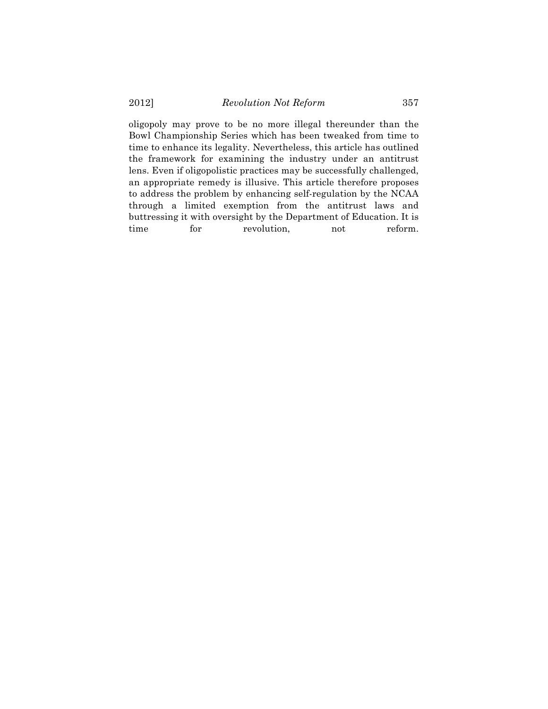oligopoly may prove to be no more illegal thereunder than the Bowl Championship Series which has been tweaked from time to time to enhance its legality. Nevertheless, this article has outlined the framework for examining the industry under an antitrust lens. Even if oligopolistic practices may be successfully challenged, an appropriate remedy is illusive. This article therefore proposes to address the problem by enhancing self-regulation by the NCAA through a limited exemption from the antitrust laws and buttressing it with oversight by the Department of Education. It is time for revolution, not reform.